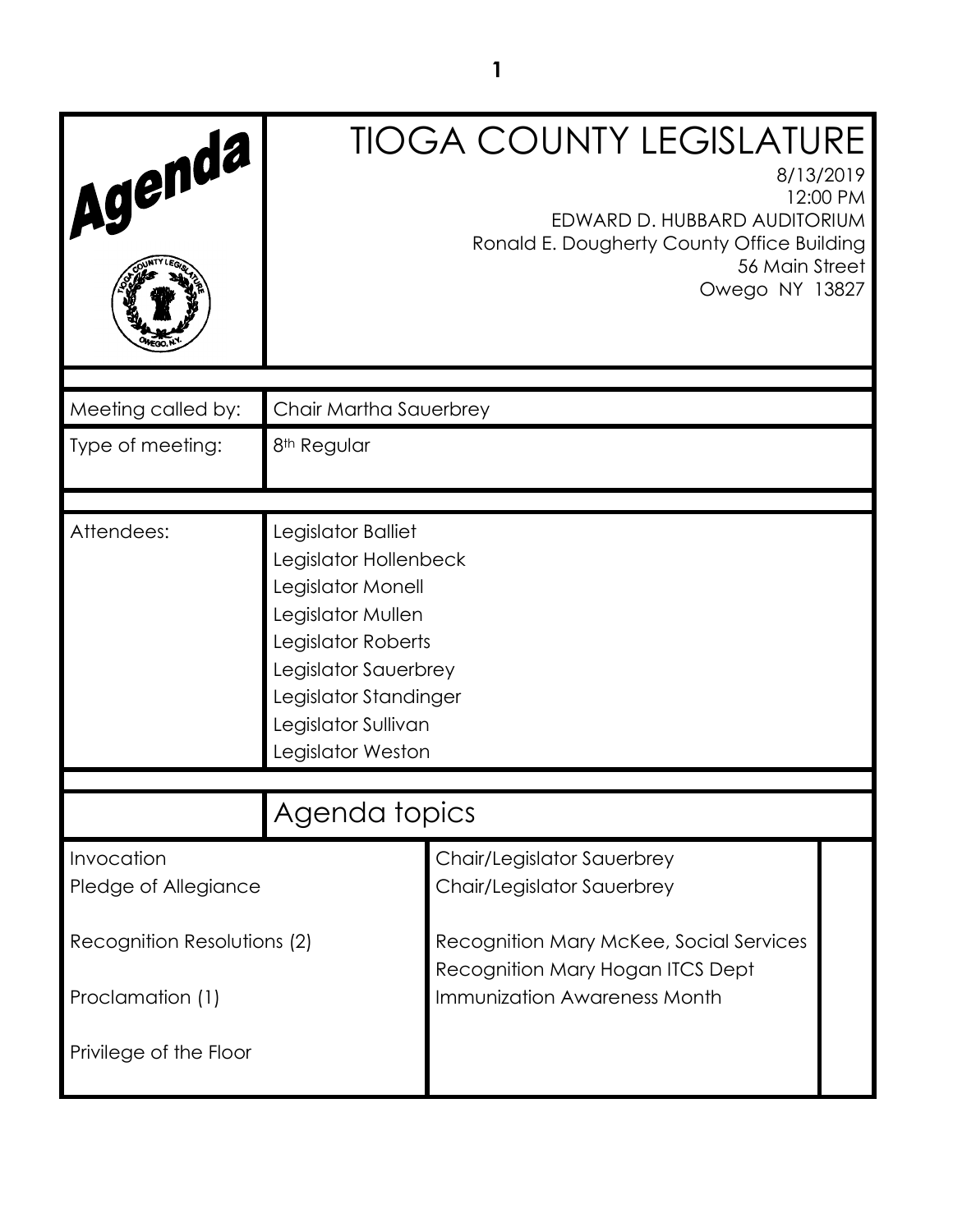| Agenda                                     |                                                                                                                                                                                                          | <b>TIOGA COUNTY LEGISLATURE</b><br>8/13/2019<br>12:00 PM<br>EDWARD D. HUBBARD AUDITORIUM<br>Ronald E. Dougherty County Office Building<br>56 Main Street<br>Owego NY 13827 |  |
|--------------------------------------------|----------------------------------------------------------------------------------------------------------------------------------------------------------------------------------------------------------|----------------------------------------------------------------------------------------------------------------------------------------------------------------------------|--|
| Meeting called by:                         | Chair Martha Sauerbrey                                                                                                                                                                                   |                                                                                                                                                                            |  |
| Type of meeting:                           | 8 <sup>th</sup> Regular                                                                                                                                                                                  |                                                                                                                                                                            |  |
| Attendees:                                 | Legislator Balliet<br>Legislator Hollenbeck<br>Legislator Monell<br>Legislator Mullen<br>Legislator Roberts<br>Legislator Sauerbrey<br>Legislator Standinger<br>Legislator Sullivan<br>Legislator Weston |                                                                                                                                                                            |  |
|                                            | Agenda topics                                                                                                                                                                                            |                                                                                                                                                                            |  |
| Invocation<br>Pledge of Allegiance         |                                                                                                                                                                                                          | Chair/Legislator Sauerbrey<br>Chair/Legislator Sauerbrey                                                                                                                   |  |
| Recognition Resolutions (2)                |                                                                                                                                                                                                          | Recognition Mary McKee, Social Services<br>Recognition Mary Hogan ITCS Dept<br><b>Immunization Awareness Month</b>                                                         |  |
| Proclamation (1)<br>Privilege of the Floor |                                                                                                                                                                                                          |                                                                                                                                                                            |  |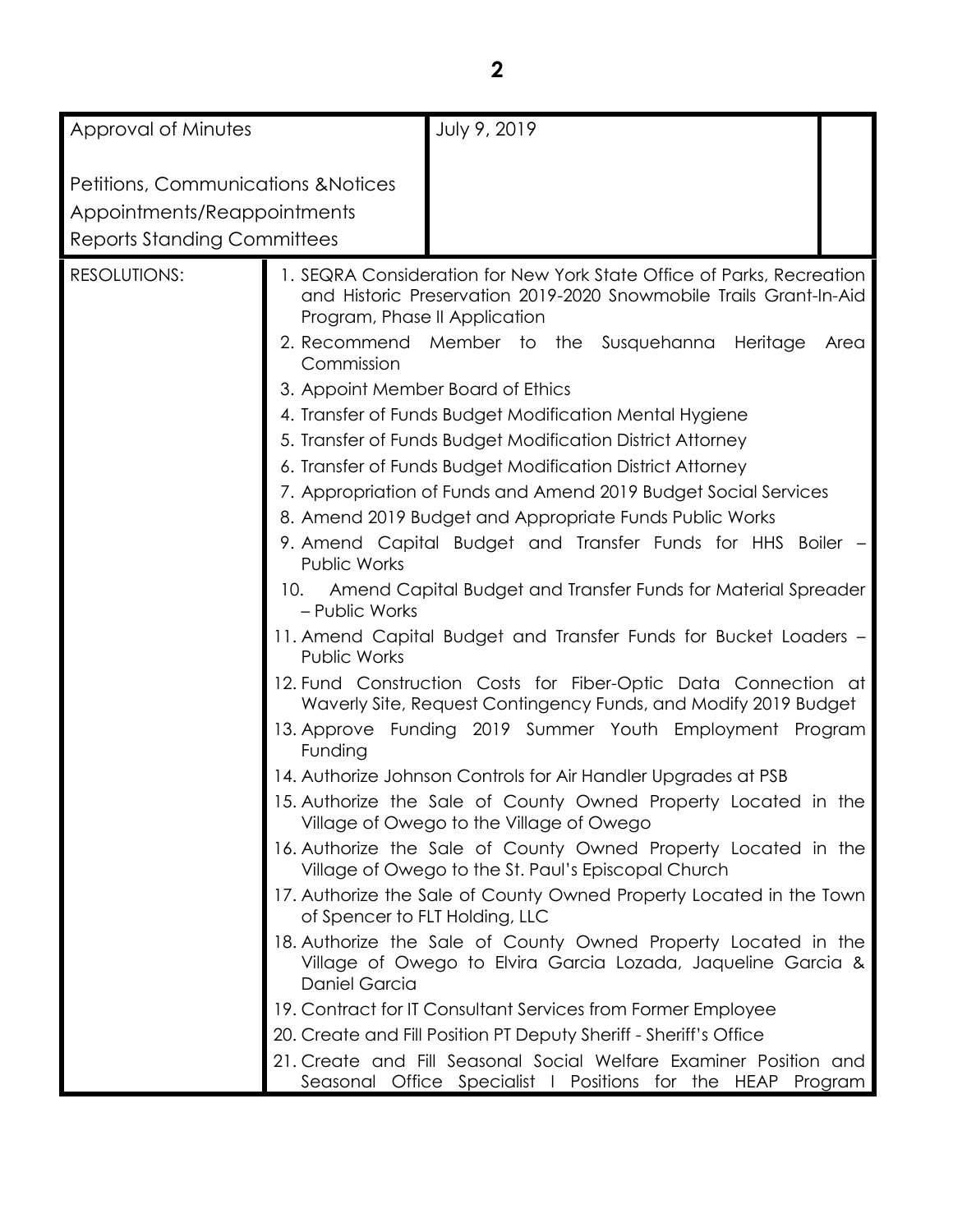| Approval of Minutes                                                                                                 |                                                                                                                                                                    | July 9, 2019                                                                                                                                                                                                                                                                                                                                                                                                                                                                                                                                                                                                                                                                                                                                                                                                                                                                                                                                                                                                                                                                                                |      |  |
|---------------------------------------------------------------------------------------------------------------------|--------------------------------------------------------------------------------------------------------------------------------------------------------------------|-------------------------------------------------------------------------------------------------------------------------------------------------------------------------------------------------------------------------------------------------------------------------------------------------------------------------------------------------------------------------------------------------------------------------------------------------------------------------------------------------------------------------------------------------------------------------------------------------------------------------------------------------------------------------------------------------------------------------------------------------------------------------------------------------------------------------------------------------------------------------------------------------------------------------------------------------------------------------------------------------------------------------------------------------------------------------------------------------------------|------|--|
|                                                                                                                     |                                                                                                                                                                    |                                                                                                                                                                                                                                                                                                                                                                                                                                                                                                                                                                                                                                                                                                                                                                                                                                                                                                                                                                                                                                                                                                             |      |  |
| <b>Petitions, Communications &amp; Notices</b><br>Appointments/Reappointments<br><b>Reports Standing Committees</b> |                                                                                                                                                                    |                                                                                                                                                                                                                                                                                                                                                                                                                                                                                                                                                                                                                                                                                                                                                                                                                                                                                                                                                                                                                                                                                                             |      |  |
| <b>RESOLUTIONS:</b>                                                                                                 | Program, Phase II Application<br>Commission<br>3. Appoint Member Board of Ethics<br><b>Public Works</b><br>10.<br>- Public Works<br><b>Public Works</b><br>Funding | 1. SEQRA Consideration for New York State Office of Parks, Recreation<br>and Historic Preservation 2019-2020 Snowmobile Trails Grant-In-Aid<br>2. Recommend Member to the Susquehanna<br>Heritage<br>4. Transfer of Funds Budget Modification Mental Hygiene<br>5. Transfer of Funds Budget Modification District Attorney<br>6. Transfer of Funds Budget Modification District Attorney<br>7. Appropriation of Funds and Amend 2019 Budget Social Services<br>8. Amend 2019 Budget and Appropriate Funds Public Works<br>9. Amend Capital Budget and Transfer Funds for HHS Boiler -<br>Amend Capital Budget and Transfer Funds for Material Spreader<br>11. Amend Capital Budget and Transfer Funds for Bucket Loaders -<br>12. Fund Construction Costs for Fiber-Optic Data Connection at<br>Waverly Site, Request Contingency Funds, and Modify 2019 Budget<br>13. Approve Funding 2019 Summer Youth Employment Program<br>14. Authorize Johnson Controls for Air Handler Upgrades at PSB<br>15. Authorize the Sale of County Owned Property Located in the<br>Village of Owego to the Village of Owego | Area |  |
|                                                                                                                     | of Spencer to FLT Holding, LLC                                                                                                                                     | 16. Authorize the Sale of County Owned Property Located in the<br>Village of Owego to the St. Paul's Episcopal Church<br>17. Authorize the Sale of County Owned Property Located in the Town                                                                                                                                                                                                                                                                                                                                                                                                                                                                                                                                                                                                                                                                                                                                                                                                                                                                                                                |      |  |
|                                                                                                                     | Daniel Garcia                                                                                                                                                      | 18. Authorize the Sale of County Owned Property Located in the<br>Village of Owego to Elvira Garcia Lozada, Jaqueline Garcia &                                                                                                                                                                                                                                                                                                                                                                                                                                                                                                                                                                                                                                                                                                                                                                                                                                                                                                                                                                              |      |  |
|                                                                                                                     |                                                                                                                                                                    | 19. Contract for IT Consultant Services from Former Employee                                                                                                                                                                                                                                                                                                                                                                                                                                                                                                                                                                                                                                                                                                                                                                                                                                                                                                                                                                                                                                                |      |  |
|                                                                                                                     | 20. Create and Fill Position PT Deputy Sheriff - Sheriff's Office                                                                                                  |                                                                                                                                                                                                                                                                                                                                                                                                                                                                                                                                                                                                                                                                                                                                                                                                                                                                                                                                                                                                                                                                                                             |      |  |
|                                                                                                                     |                                                                                                                                                                    | 21. Create and Fill Seasonal Social Welfare Examiner Position and<br>Seasonal Office Specialist I Positions for the HEAP Program                                                                                                                                                                                                                                                                                                                                                                                                                                                                                                                                                                                                                                                                                                                                                                                                                                                                                                                                                                            |      |  |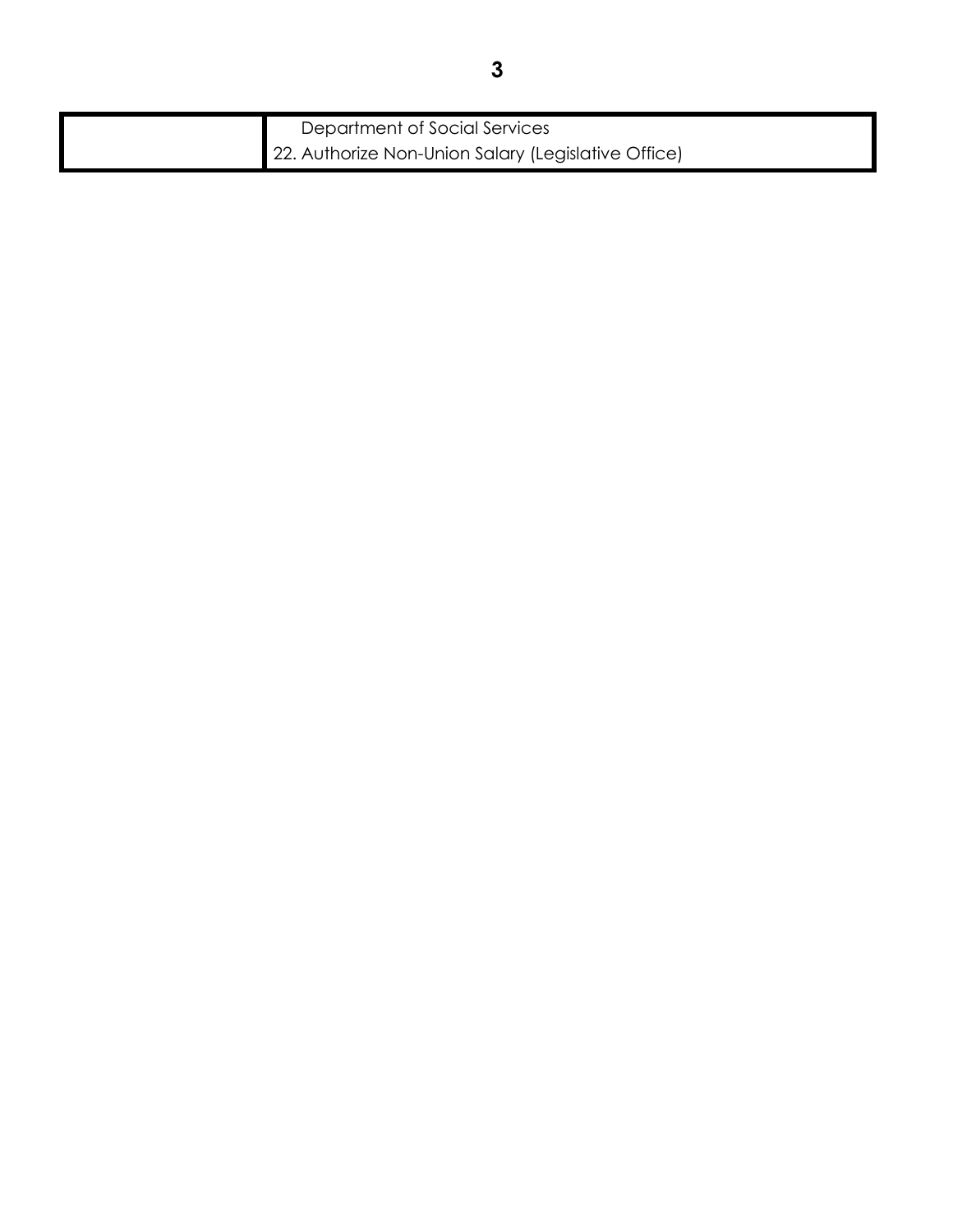| Department of Social Services                       |
|-----------------------------------------------------|
| 22. Authorize Non-Union Salary (Legislative Office) |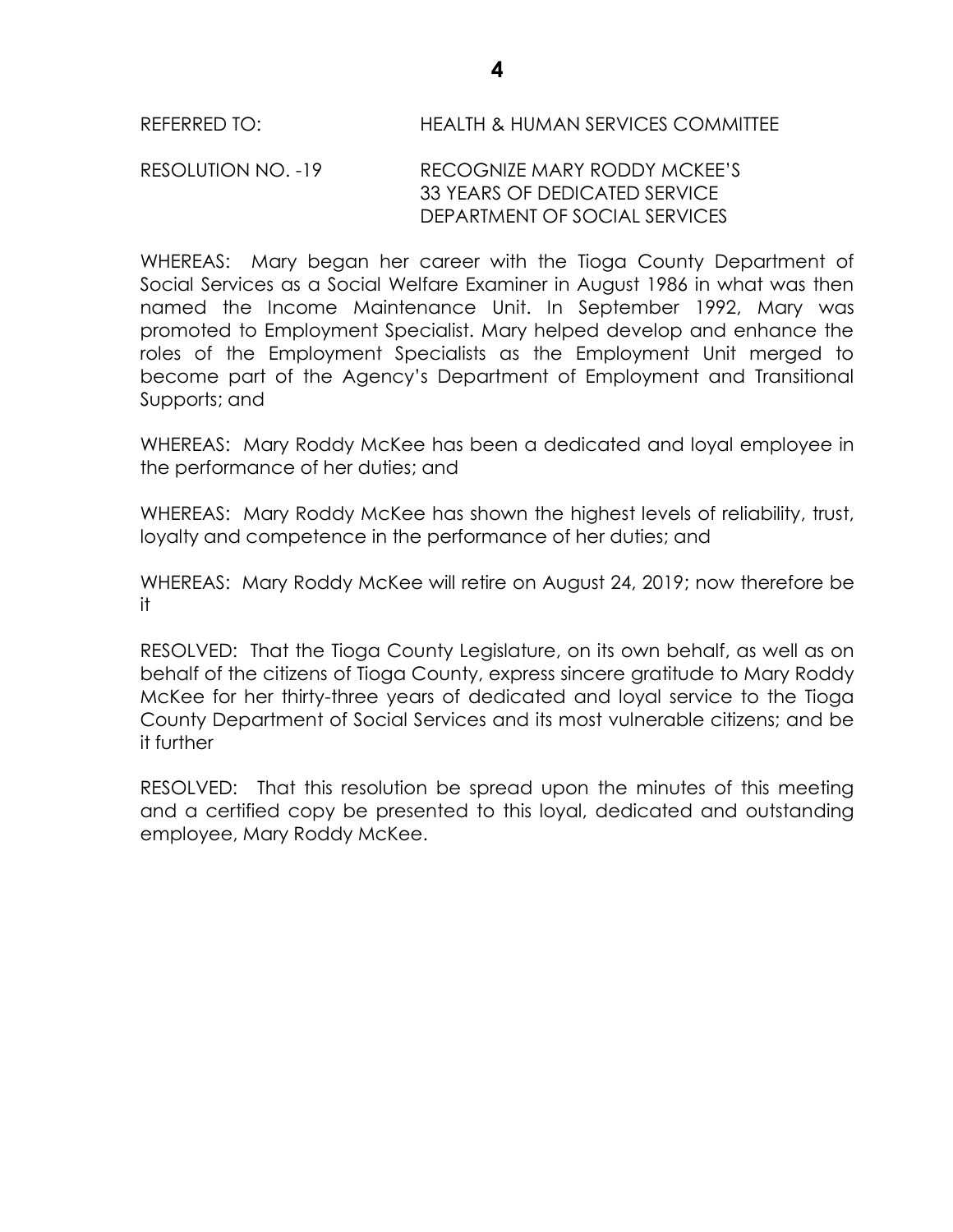#### RESOLUTION NO. -19 RECOGNIZE MARY RODDY MCKEE'S 33 YEARS OF DEDICATED SERVICE DEPARTMENT OF SOCIAL SERVICES

WHEREAS: Mary began her career with the Tioga County Department of Social Services as a Social Welfare Examiner in August 1986 in what was then named the Income Maintenance Unit. In September 1992, Mary was promoted to Employment Specialist. Mary helped develop and enhance the roles of the Employment Specialists as the Employment Unit merged to become part of the Agency's Department of Employment and Transitional Supports; and

WHEREAS: Mary Roddy McKee has been a dedicated and loyal employee in the performance of her duties; and

WHEREAS: Mary Roddy McKee has shown the highest levels of reliability, trust, loyalty and competence in the performance of her duties; and

WHEREAS: Mary Roddy McKee will retire on August 24, 2019; now therefore be it

RESOLVED:That the Tioga County Legislature, on its own behalf, as well as on behalf of the citizens of Tioga County, express sincere gratitude to Mary Roddy McKee for her thirty-three years of dedicated and loyal service to the Tioga County Department of Social Services and its most vulnerable citizens; and be it further

RESOLVED: That this resolution be spread upon the minutes of this meeting and a certified copy be presented to this loyal, dedicated and outstanding employee, Mary Roddy McKee.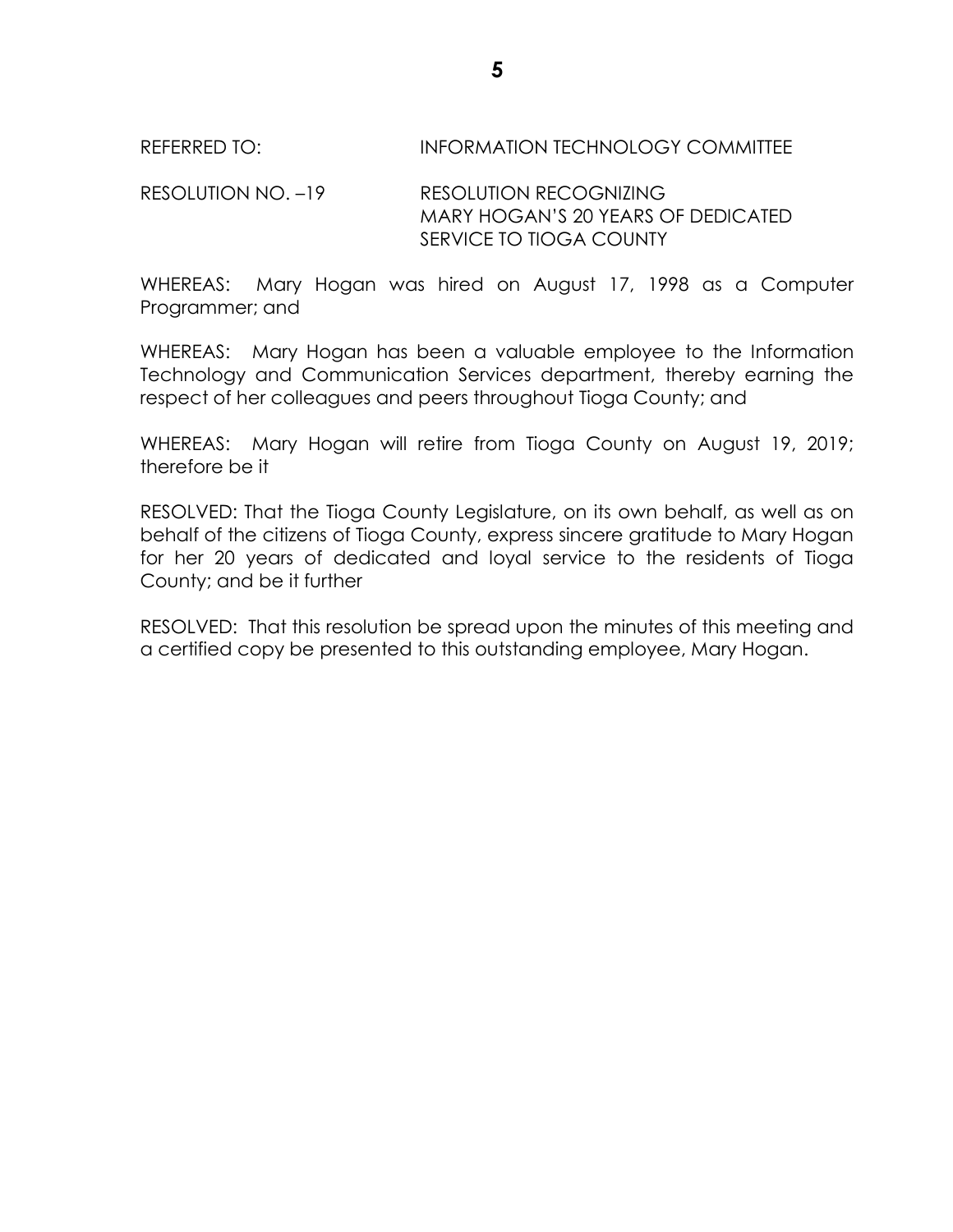#### REFERRED TO: INFORMATION TECHNOLOGY COMMITTEE

RESOLUTION NO. –19 RESOLUTION RECOGNIZING MARY HOGAN'S 20 YEARS OF DEDICATED SERVICE TO TIOGA COUNTY

WHEREAS: Mary Hogan was hired on August 17, 1998 as a Computer Programmer; and

WHEREAS: Mary Hogan has been a valuable employee to the Information Technology and Communication Services department, thereby earning the respect of her colleagues and peers throughout Tioga County; and

WHEREAS: Mary Hogan will retire from Tioga County on August 19, 2019; therefore be it

RESOLVED: That the Tioga County Legislature, on its own behalf, as well as on behalf of the citizens of Tioga County, express sincere gratitude to Mary Hogan for her 20 years of dedicated and loyal service to the residents of Tioga County; and be it further

RESOLVED: That this resolution be spread upon the minutes of this meeting and a certified copy be presented to this outstanding employee, Mary Hogan.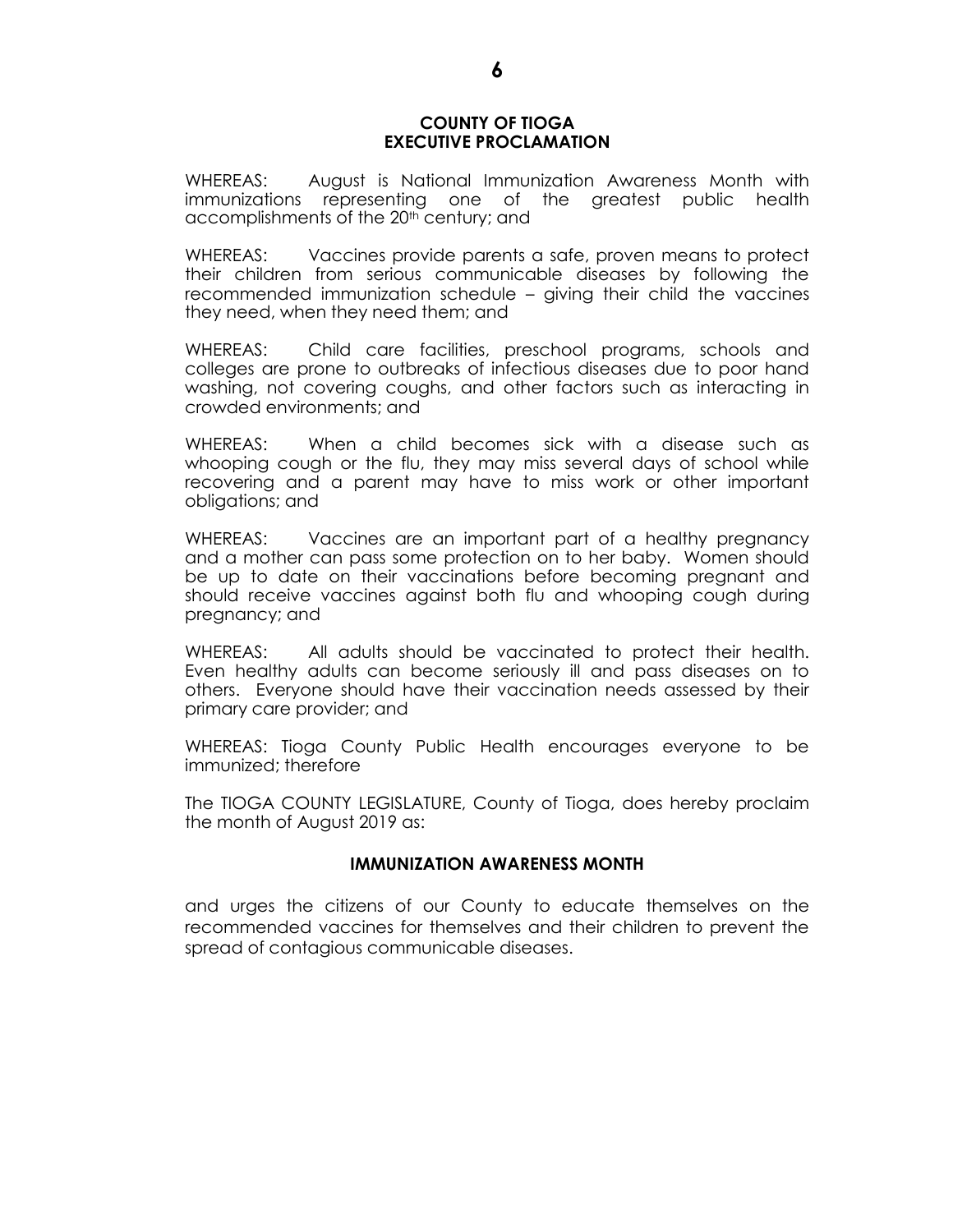#### **COUNTY OF TIOGA EXECUTIVE PROCLAMATION**

WHEREAS: August is National Immunization Awareness Month with immunizations representing one of the greatest public health accomplishments of the 20<sup>th</sup> century; and

WHEREAS: Vaccines provide parents a safe, proven means to protect their children from serious communicable diseases by following the recommended immunization schedule – giving their child the vaccines they need, when they need them; and

WHEREAS: Child care facilities, preschool programs, schools and colleges are prone to outbreaks of infectious diseases due to poor hand washing, not covering coughs, and other factors such as interacting in crowded environments; and

WHEREAS: When a child becomes sick with a disease such as whooping cough or the flu, they may miss several days of school while recovering and a parent may have to miss work or other important obligations; and

WHEREAS: Vaccines are an important part of a healthy pregnancy and a mother can pass some protection on to her baby. Women should be up to date on their vaccinations before becoming pregnant and should receive vaccines against both flu and whooping cough during pregnancy; and

WHEREAS: All adults should be vaccinated to protect their health. Even healthy adults can become seriously ill and pass diseases on to others. Everyone should have their vaccination needs assessed by their primary care provider; and

WHEREAS: Tioga County Public Health encourages everyone to be immunized; therefore

The TIOGA COUNTY LEGISLATURE, County of Tioga, does hereby proclaim the month of August 2019 as:

#### **IMMUNIZATION AWARENESS MONTH**

and urges the citizens of our County to educate themselves on the recommended vaccines for themselves and their children to prevent the spread of contagious communicable diseases.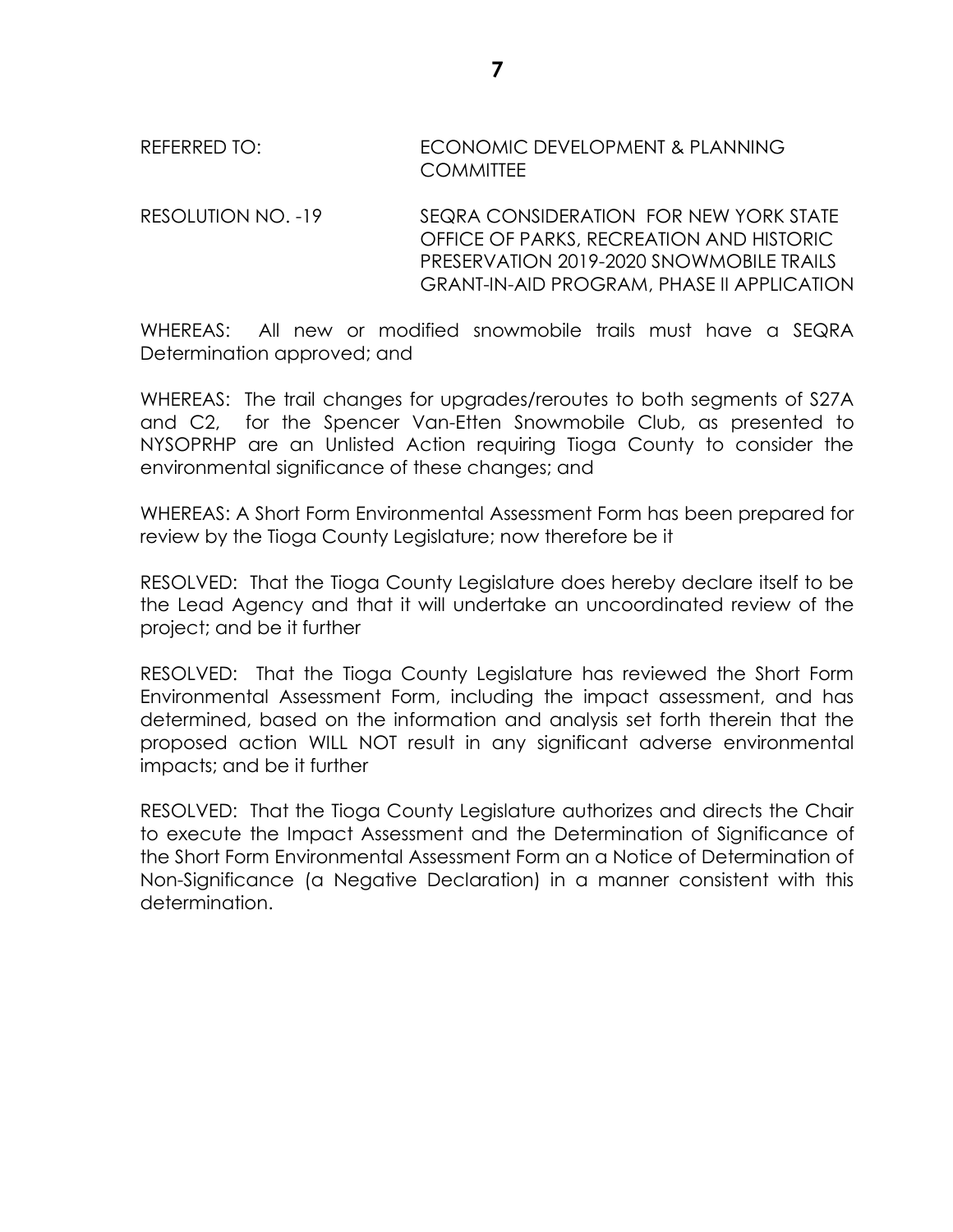# REFERRED TO: ECONOMIC DEVELOPMENT & PLANNING **COMMITTEE**

RESOLUTION NO. -19 SEQRA CONSIDERATION FOR NEW YORK STATE OFFICE OF PARKS, RECREATION AND HISTORIC PRESERVATION 2019-2020 SNOWMOBILE TRAILS GRANT-IN-AID PROGRAM, PHASE II APPLICATION

WHEREAS: All new or modified snowmobile trails must have a SEQRA Determination approved; and

WHEREAS: The trail changes for upgrades/reroutes to both segments of S27A and C2, for the Spencer Van-Etten Snowmobile Club, as presented to NYSOPRHP are an Unlisted Action requiring Tioga County to consider the environmental significance of these changes; and

WHEREAS: A Short Form Environmental Assessment Form has been prepared for review by the Tioga County Legislature; now therefore be it

RESOLVED: That the Tioga County Legislature does hereby declare itself to be the Lead Agency and that it will undertake an uncoordinated review of the project; and be it further

RESOLVED: That the Tioga County Legislature has reviewed the Short Form Environmental Assessment Form, including the impact assessment, and has determined, based on the information and analysis set forth therein that the proposed action WILL NOT result in any significant adverse environmental impacts; and be it further

RESOLVED: That the Tioga County Legislature authorizes and directs the Chair to execute the Impact Assessment and the Determination of Significance of the Short Form Environmental Assessment Form an a Notice of Determination of Non-Significance (a Negative Declaration) in a manner consistent with this determination.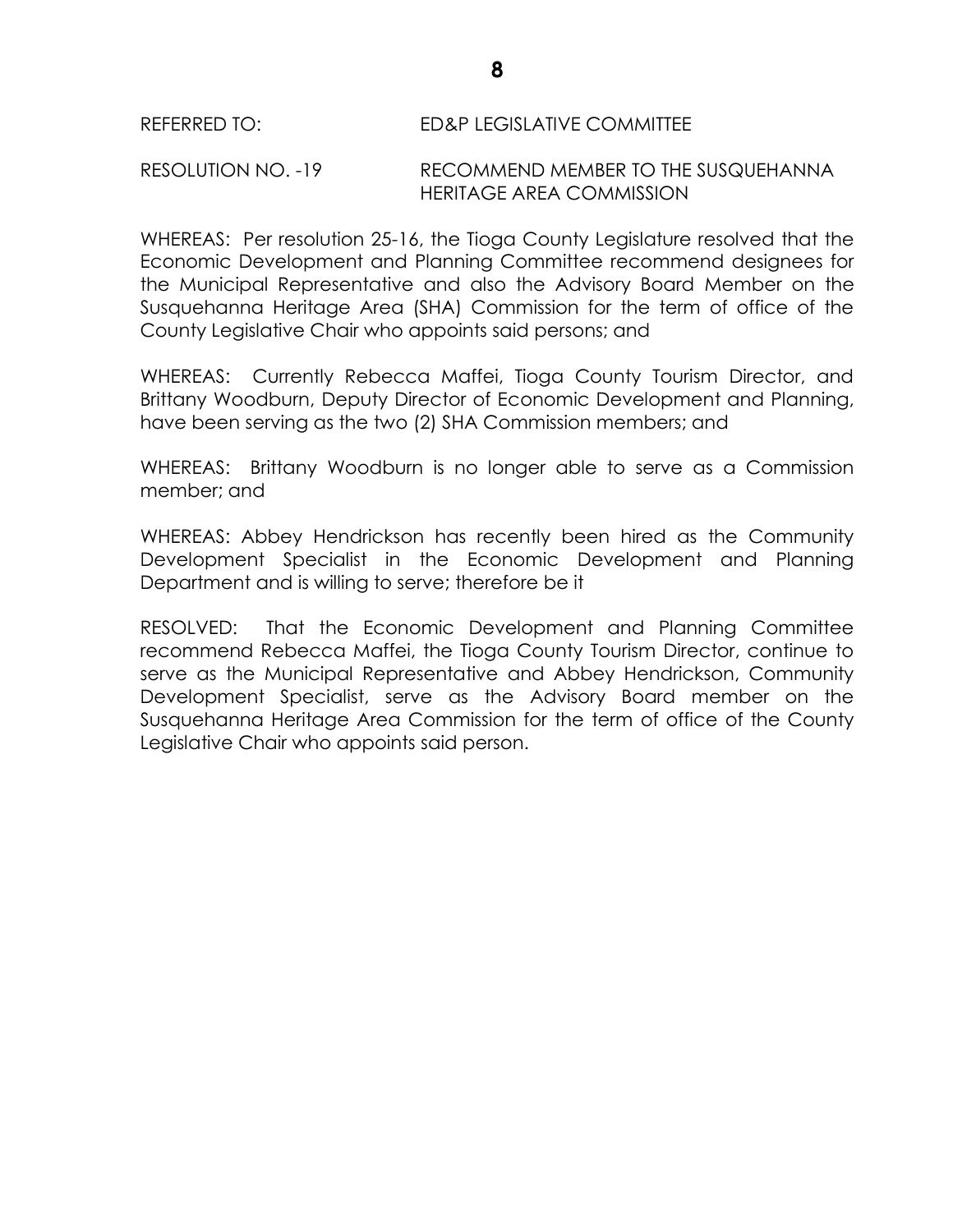RESOLUTION NO. -19 RECOMMEND MEMBER TO THE SUSQUEHANNA HERITAGE AREA COMMISSION

WHEREAS: Per resolution 25-16, the Tioga County Legislature resolved that the Economic Development and Planning Committee recommend designees for the Municipal Representative and also the Advisory Board Member on the Susquehanna Heritage Area (SHA) Commission for the term of office of the County Legislative Chair who appoints said persons; and

WHEREAS: Currently Rebecca Maffei, Tioga County Tourism Director, and Brittany Woodburn, Deputy Director of Economic Development and Planning, have been serving as the two (2) SHA Commission members; and

WHEREAS: Brittany Woodburn is no longer able to serve as a Commission member; and

WHEREAS: Abbey Hendrickson has recently been hired as the Community Development Specialist in the Economic Development and Planning Department and is willing to serve; therefore be it

RESOLVED: That the Economic Development and Planning Committee recommend Rebecca Maffei, the Tioga County Tourism Director, continue to serve as the Municipal Representative and Abbey Hendrickson, Community Development Specialist, serve as the Advisory Board member on the Susquehanna Heritage Area Commission for the term of office of the County Legislative Chair who appoints said person.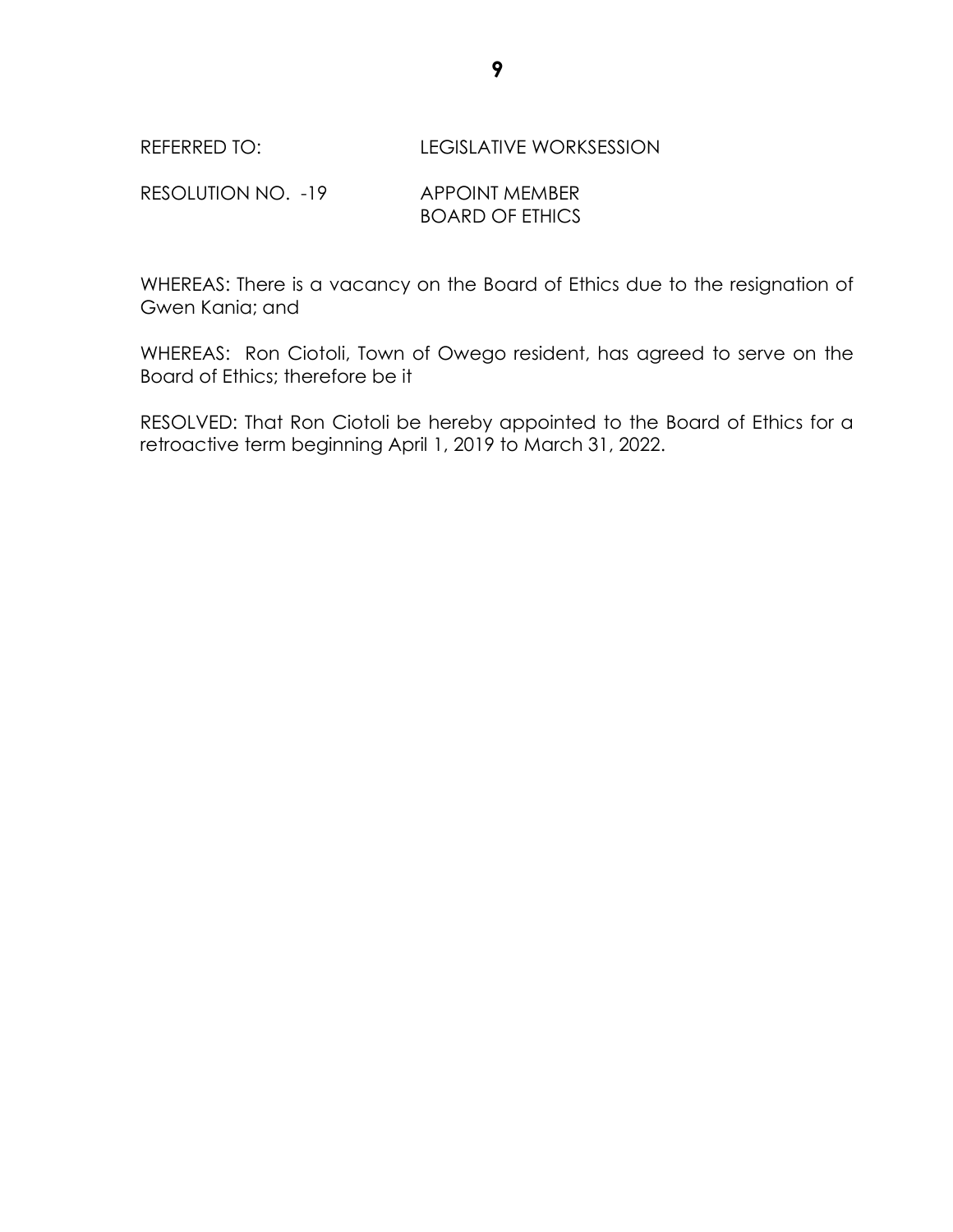#### REFERRED TO: REFERRED TO: LEGISLATIVE WORKSESSION

RESOLUTION NO. -19 APPOINT MEMBER BOARD OF ETHICS

WHEREAS: There is a vacancy on the Board of Ethics due to the resignation of Gwen Kania; and

WHEREAS: Ron Ciotoli, Town of Owego resident, has agreed to serve on the Board of Ethics; therefore be it

RESOLVED: That Ron Ciotoli be hereby appointed to the Board of Ethics for a retroactive term beginning April 1, 2019 to March 31, 2022.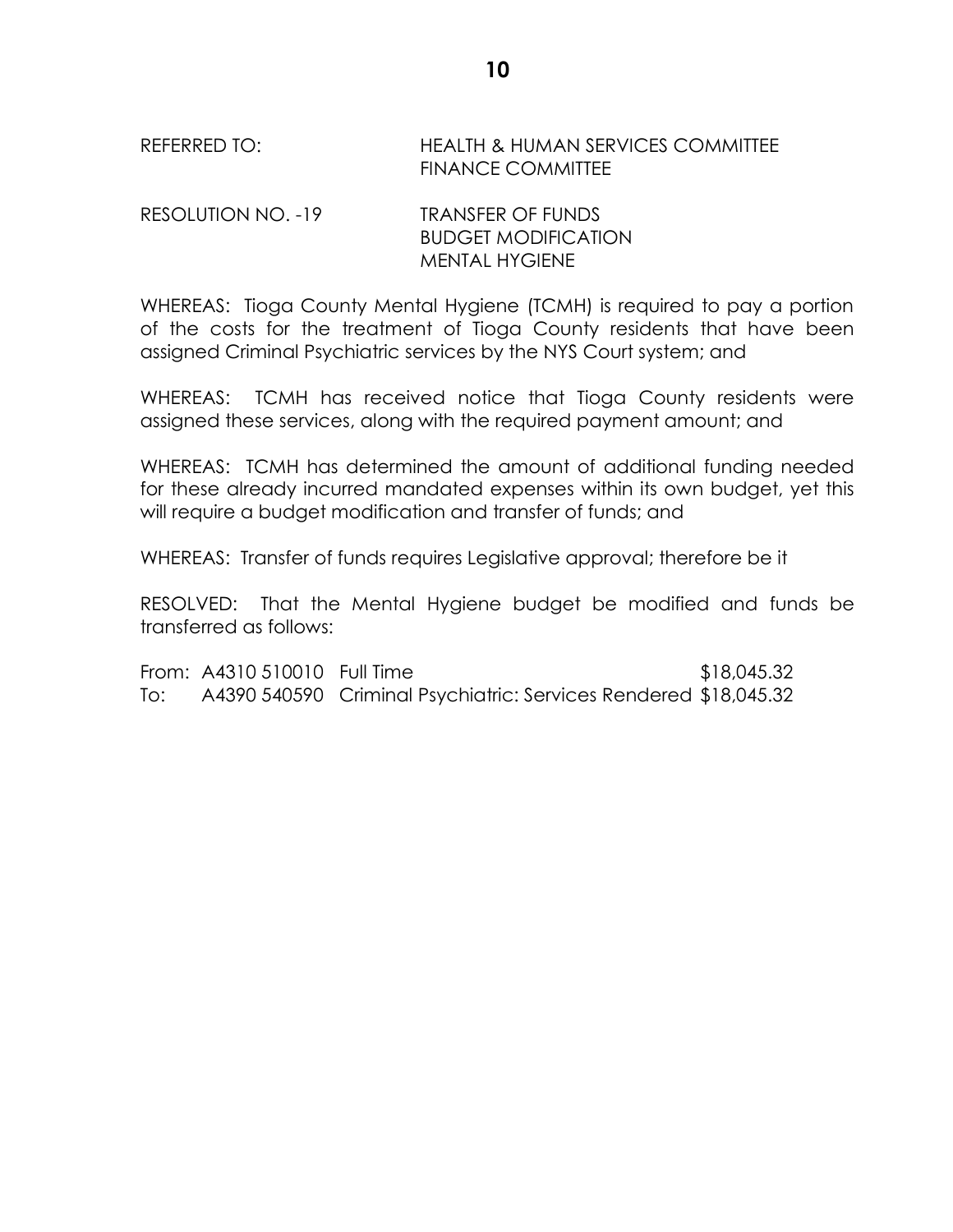## REFERRED TO: HEALTH & HUMAN SERVICES COMMITTEE FINANCE COMMITTEE

RESOLUTION NO. -19 TRANSFER OF FUNDS BUDGET MODIFICATION MENTAL HYGIENE

WHEREAS: Tioga County Mental Hygiene (TCMH) is required to pay a portion of the costs for the treatment of Tioga County residents that have been assigned Criminal Psychiatric services by the NYS Court system; and

WHEREAS: TCMH has received notice that Tioga County residents were assigned these services, along with the required payment amount; and

WHEREAS: TCMH has determined the amount of additional funding needed for these already incurred mandated expenses within its own budget, yet this will require a budget modification and transfer of funds; and

WHEREAS: Transfer of funds requires Legislative approval; therefore be it

RESOLVED: That the Mental Hygiene budget be modified and funds be transferred as follows:

From: A4310 510010 Full Time \$18,045.32 To: A4390 540590 Criminal Psychiatric: Services Rendered \$18,045.32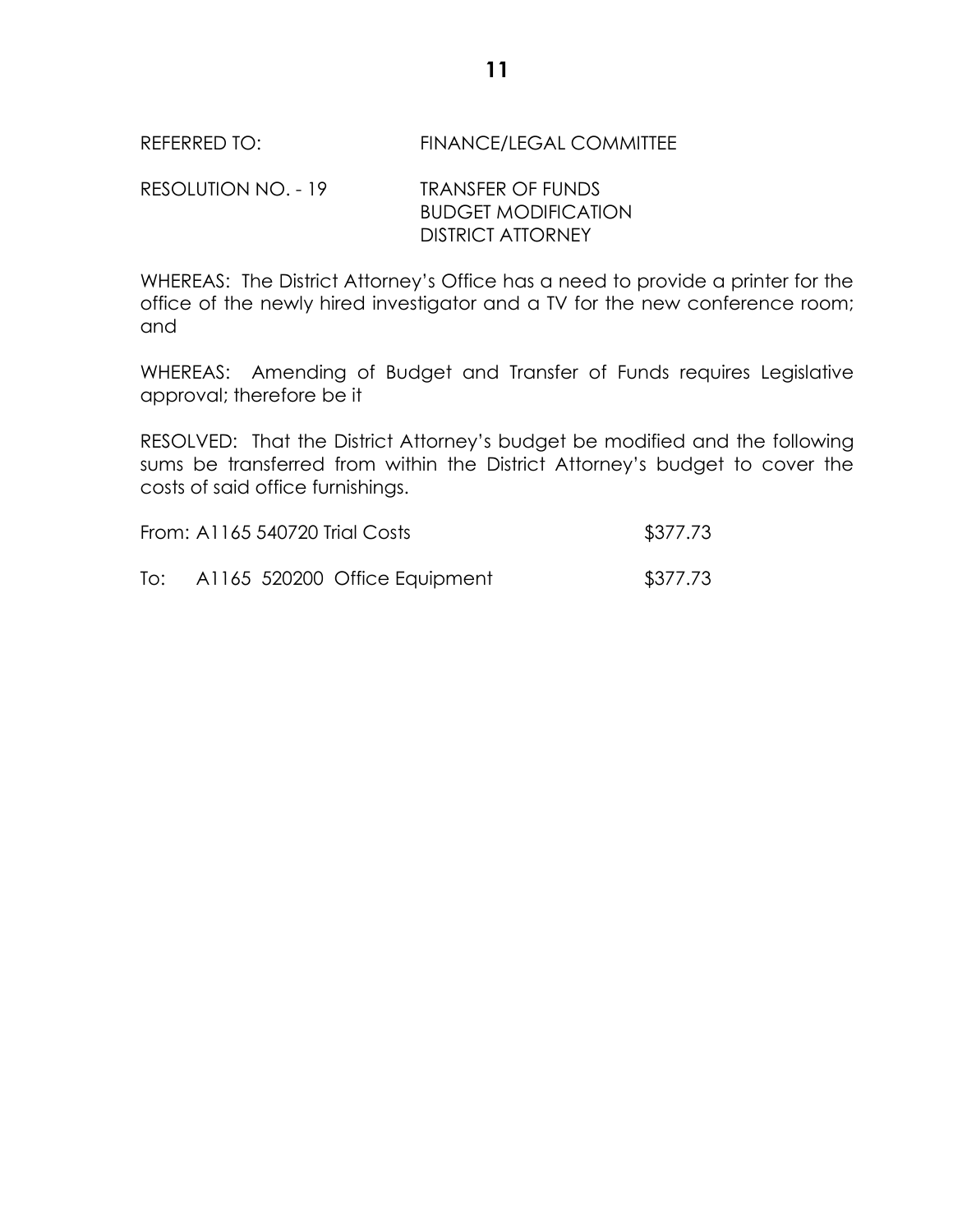RESOLUTION NO. - 19 TRANSFER OF FUNDS BUDGET MODIFICATION DISTRICT ATTORNEY

WHEREAS: The District Attorney's Office has a need to provide a printer for the office of the newly hired investigator and a TV for the new conference room; and

WHEREAS: Amending of Budget and Transfer of Funds requires Legislative approval; therefore be it

RESOLVED: That the District Attorney's budget be modified and the following sums be transferred from within the District Attorney's budget to cover the costs of said office furnishings.

| From: A1165 540720 Trial Costs | \$377.73                      |          |
|--------------------------------|-------------------------------|----------|
| To:                            | A1165 520200 Office Equipment | \$377.73 |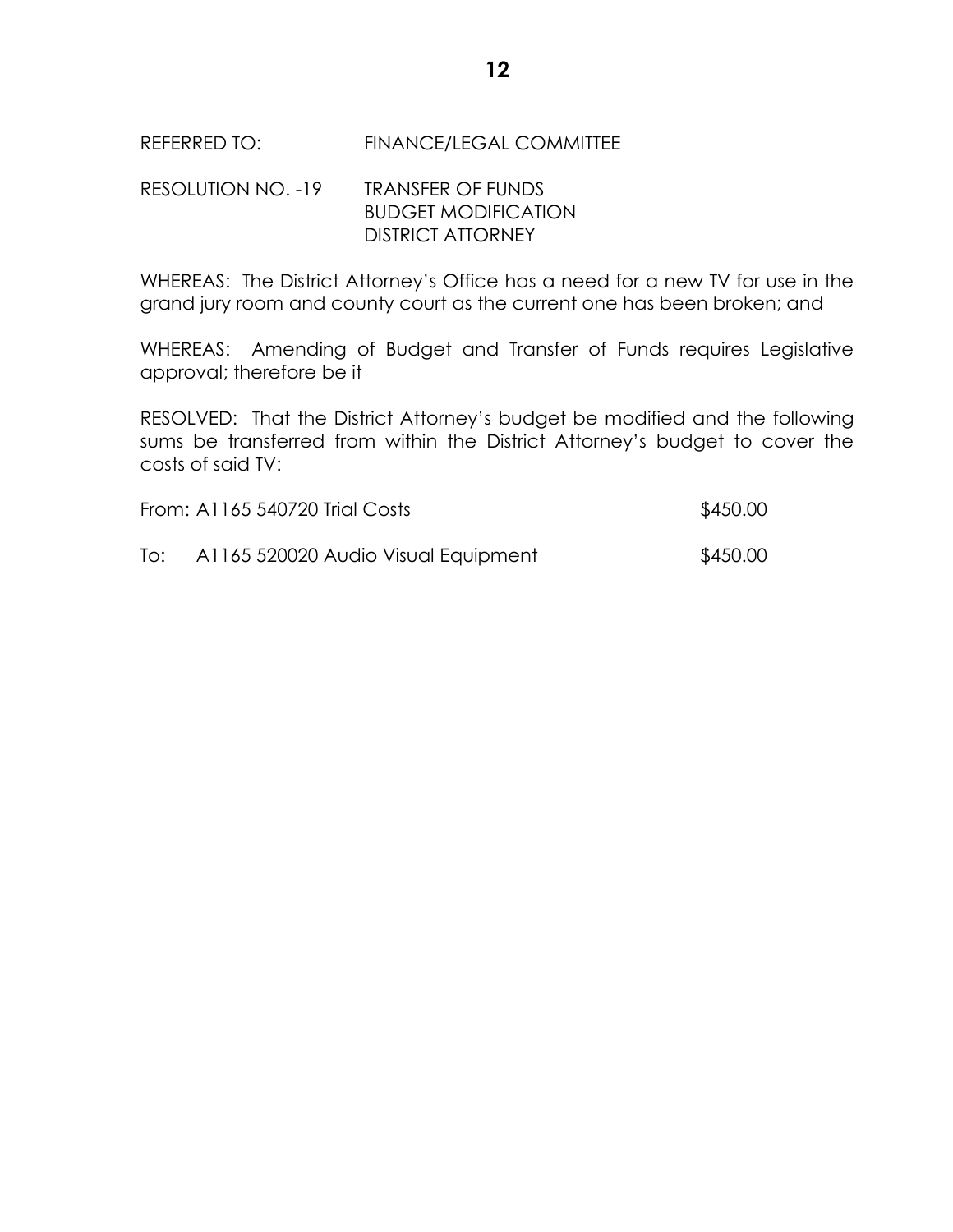RESOLUTION NO. -19 TRANSFER OF FUNDS BUDGET MODIFICATION DISTRICT ATTORNEY

WHEREAS: The District Attorney's Office has a need for a new TV for use in the grand jury room and county court as the current one has been broken; and

WHEREAS: Amending of Budget and Transfer of Funds requires Legislative approval; therefore be it

RESOLVED: That the District Attorney's budget be modified and the following sums be transferred from within the District Attorney's budget to cover the costs of said TV:

|     | From: A1165 540720 Trial Costs      | \$450.00 |
|-----|-------------------------------------|----------|
| To: | A1165 520020 Audio Visual Equipment | \$450.00 |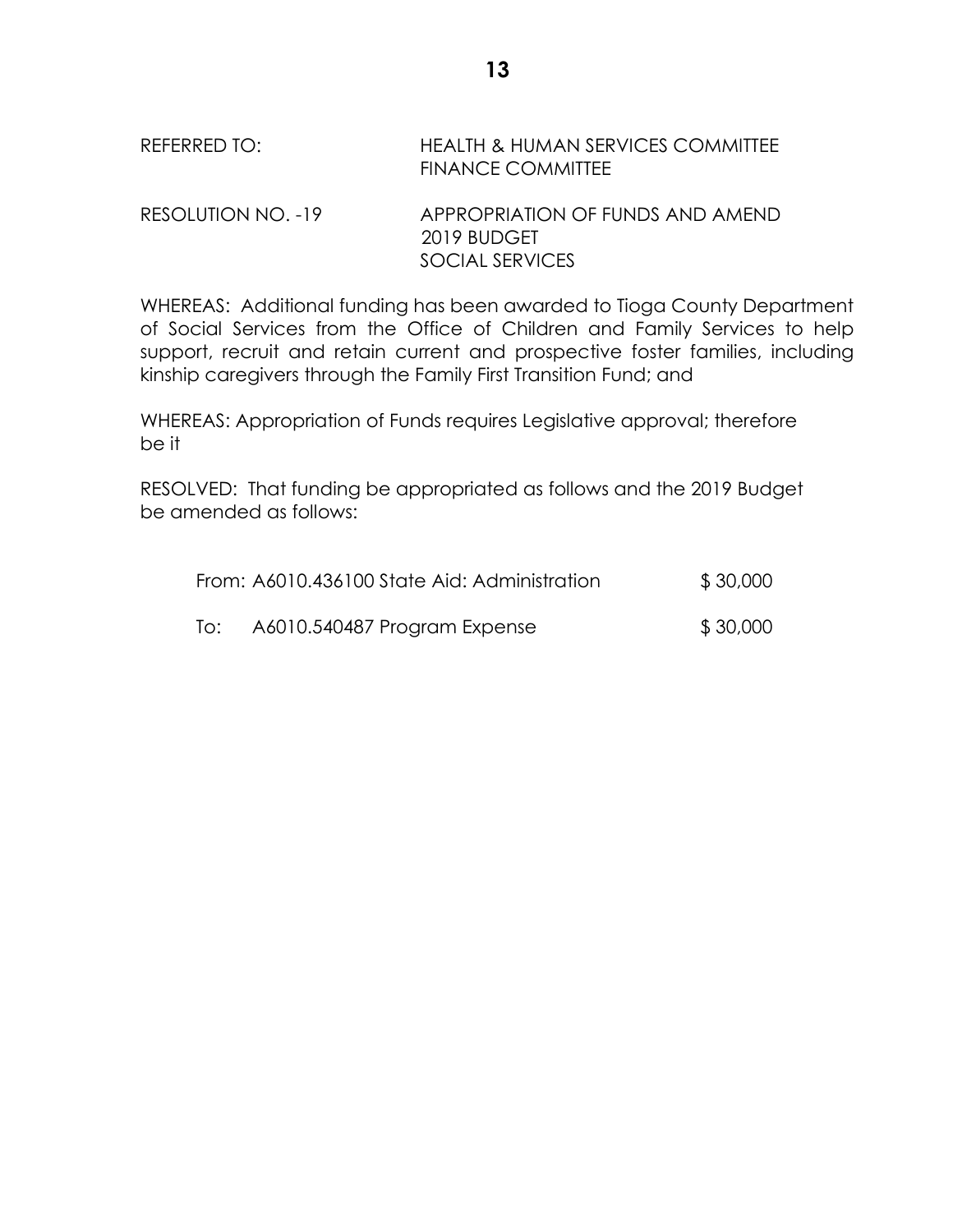# REFERRED TO: HEALTH & HUMAN SERVICES COMMITTEE FINANCE COMMITTEE RESOLUTION NO. -19 APPROPRIATION OF FUNDS AND AMEND 2019 BUDGET SOCIAL SERVICES

WHEREAS: Additional funding has been awarded to Tioga County Department of Social Services from the Office of Children and Family Services to help support, recruit and retain current and prospective foster families, including kinship caregivers through the Family First Transition Fund; and

WHEREAS: Appropriation of Funds requires Legislative approval; therefore be it

RESOLVED: That funding be appropriated as follows and the 2019 Budget be amended as follows:

|     | From: A6010.436100 State Aid: Administration | \$30,000 |
|-----|----------------------------------------------|----------|
| To: | A6010.540487 Program Expense                 | \$30,000 |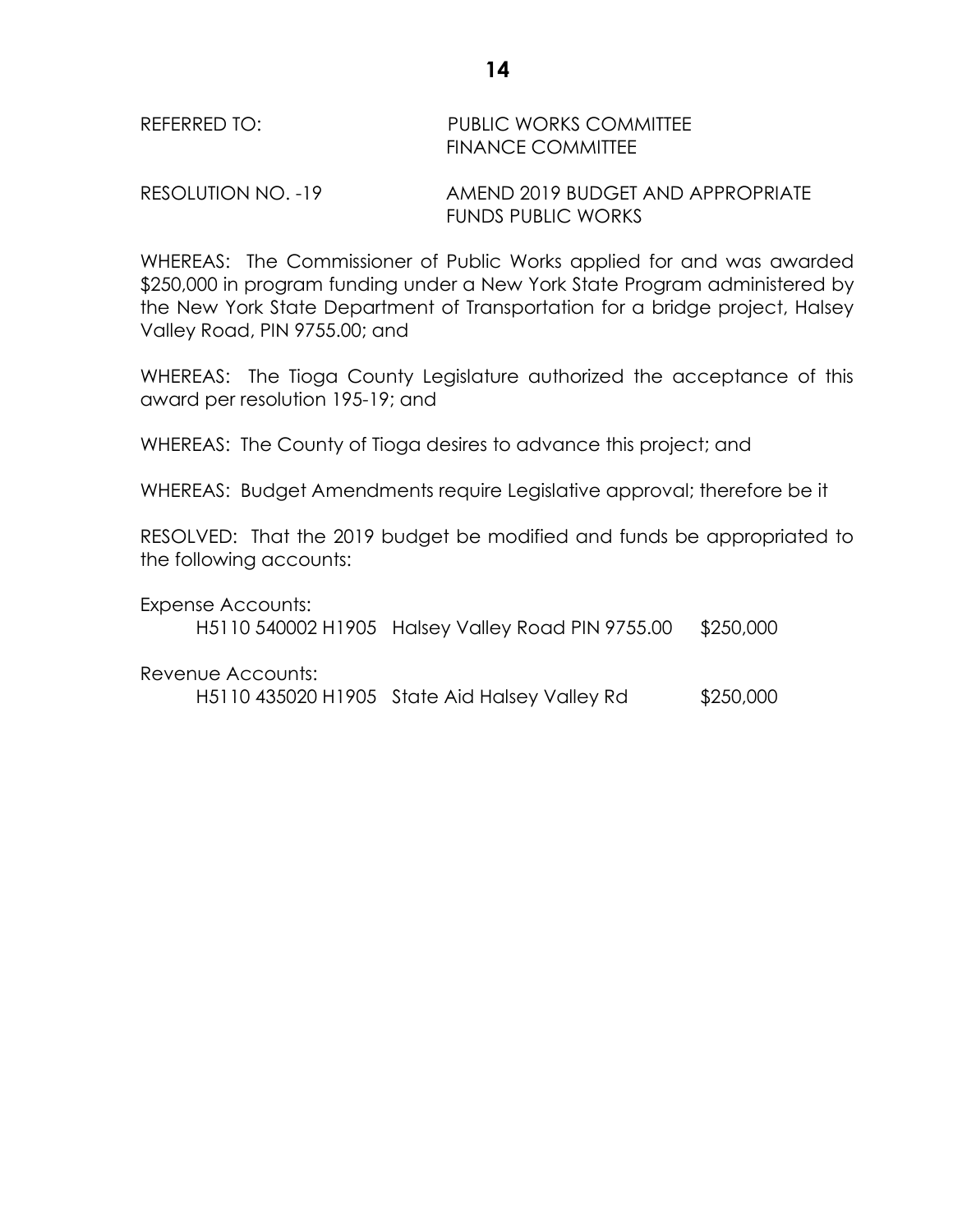| REFERRED TO: | <b>PUBLIC WORKS COMMITTEE</b> |
|--------------|-------------------------------|
|              | <b>FINANCE COMMITTEE</b>      |

RESOLUTION NO. -19 AMEND 2019 BUDGET AND APPROPRIATE FUNDS PUBLIC WORKS

WHEREAS: The Commissioner of Public Works applied for and was awarded \$250,000 in program funding under a New York State Program administered by the New York State Department of Transportation for a bridge project, Halsey Valley Road, PIN 9755.00; and

WHEREAS: The Tioga County Legislature authorized the acceptance of this award per resolution 195-19; and

WHEREAS: The County of Tioga desires to advance this project; and

WHEREAS: Budget Amendments require Legislative approval; therefore be it

RESOLVED: That the 2019 budget be modified and funds be appropriated to the following accounts:

Expense Accounts:

H5110 540002 H1905 Halsey Valley Road PIN 9755.00 \$250,000

Revenue Accounts:

H5110 435020 H1905 State Aid Halsey Valley Rd \$250,000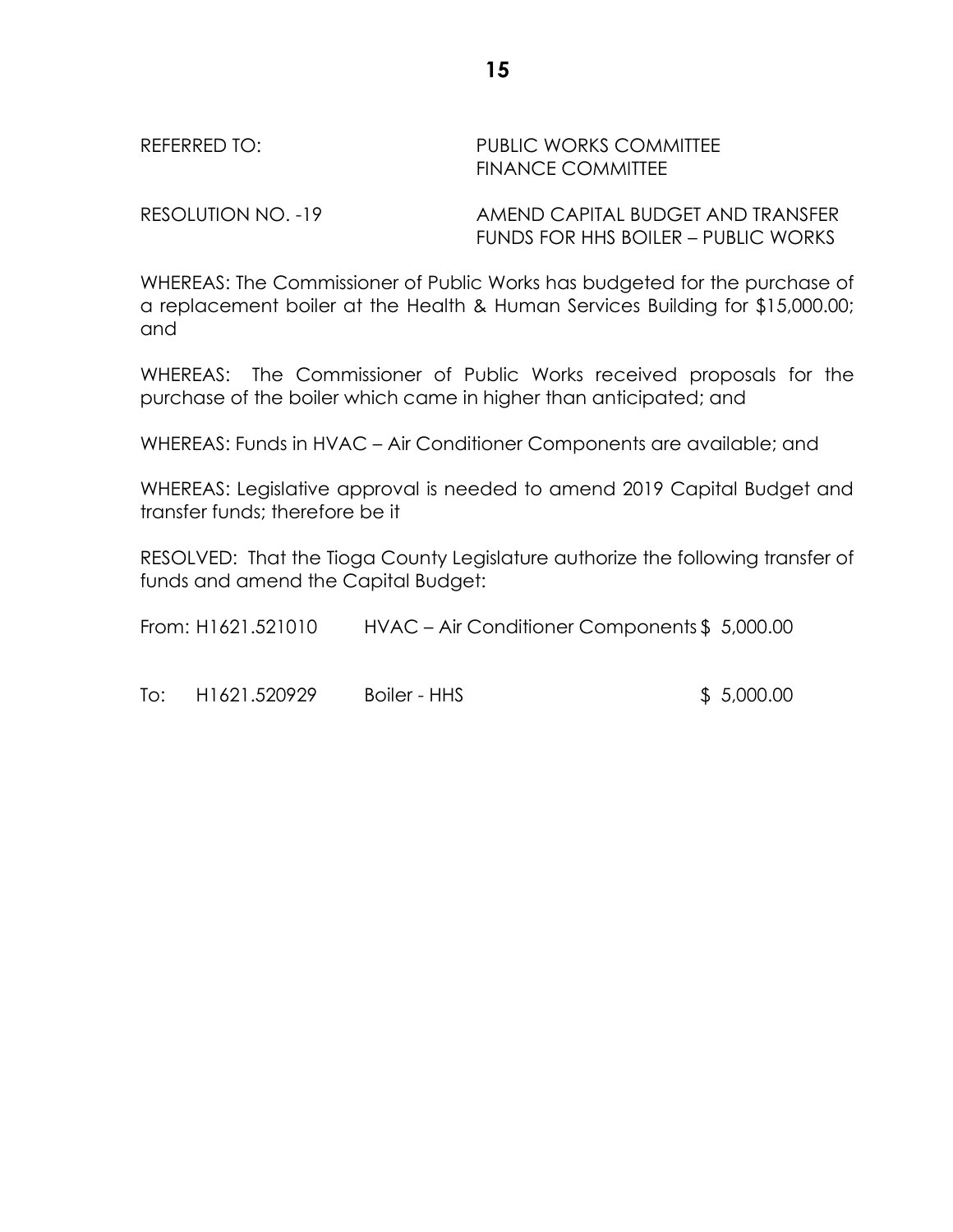#### REFERRED TO: THE PUBLIC WORKS COMMITTEE FINANCE COMMITTEE

RESOLUTION NO. -19 AMEND CAPITAL BUDGET AND TRANSFER FUNDS FOR HHS BOILER – PUBLIC WORKS

WHEREAS: The Commissioner of Public Works has budgeted for the purchase of a replacement boiler at the Health & Human Services Building for \$15,000.00; and

WHEREAS: The Commissioner of Public Works received proposals for the purchase of the boiler which came in higher than anticipated; and

WHEREAS: Funds in HVAC – Air Conditioner Components are available; and

WHEREAS: Legislative approval is needed to amend 2019 Capital Budget and transfer funds; therefore be it

RESOLVED: That the Tioga County Legislature authorize the following transfer of funds and amend the Capital Budget:

| From: H1621.521010 |              | HVAC – Air Conditioner Components \$ 5,000.00 |             |
|--------------------|--------------|-----------------------------------------------|-------------|
|                    |              |                                               |             |
| To:                | H1621.520929 | Boiler - HHS                                  | \$ 5,000.00 |

**15**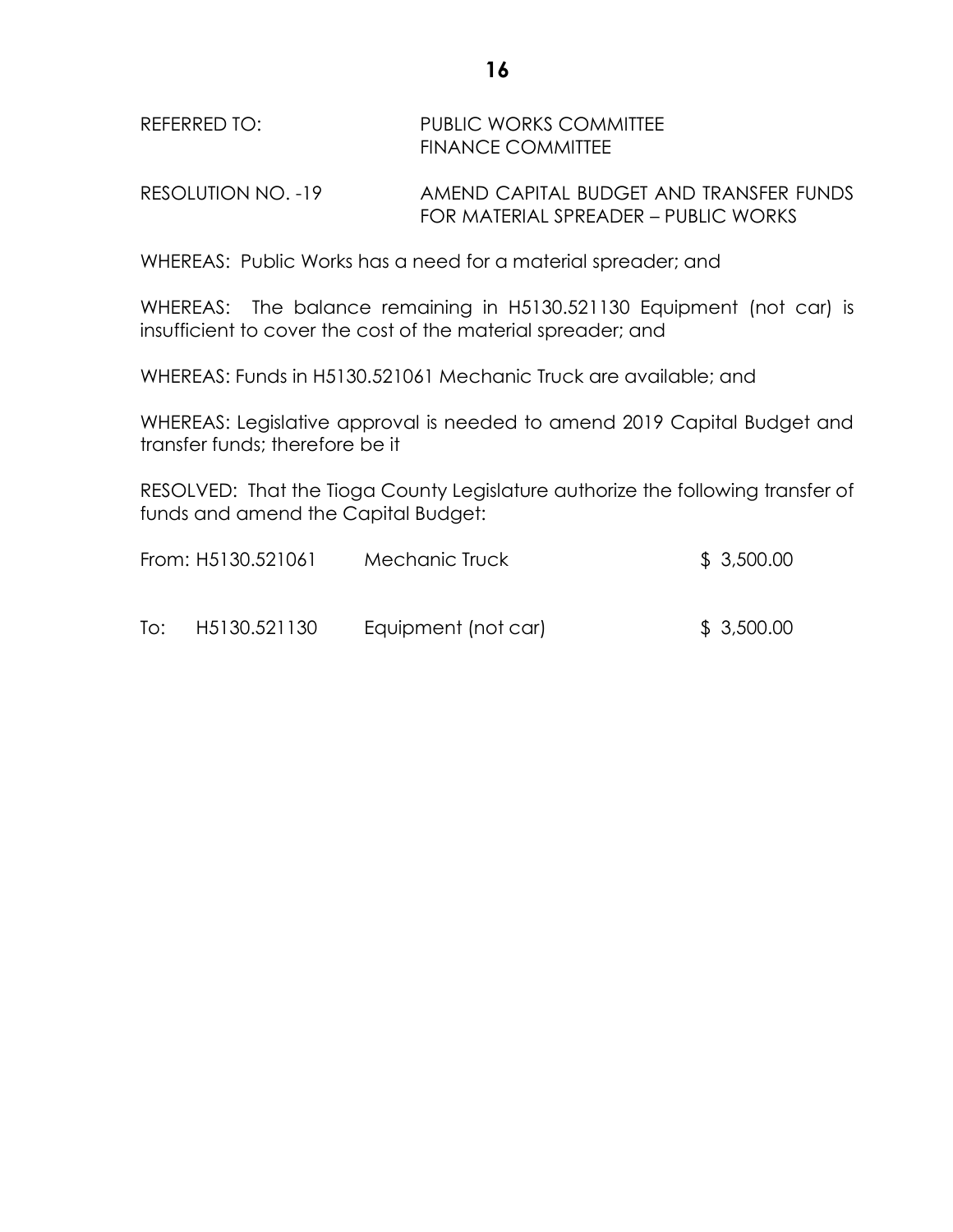REFERRED TO: PUBLIC WORKS COMMITTEE FINANCE COMMITTEE

RESOLUTION NO. -19 AMEND CAPITAL BUDGET AND TRANSFER FUNDS FOR MATERIAL SPREADER – PUBLIC WORKS

WHEREAS: Public Works has a need for a material spreader; and

WHEREAS: The balance remaining in H5130.521130 Equipment (not car) is insufficient to cover the cost of the material spreader; and

WHEREAS: Funds in H5130.521061 Mechanic Truck are available; and

WHEREAS: Legislative approval is needed to amend 2019 Capital Budget and transfer funds; therefore be it

RESOLVED: That the Tioga County Legislature authorize the following transfer of funds and amend the Capital Budget:

|     | From: H5130.521061 | Mechanic Truck      | \$3,500.00 |
|-----|--------------------|---------------------|------------|
| To: | H5130.521130       | Equipment (not car) | \$3,500.00 |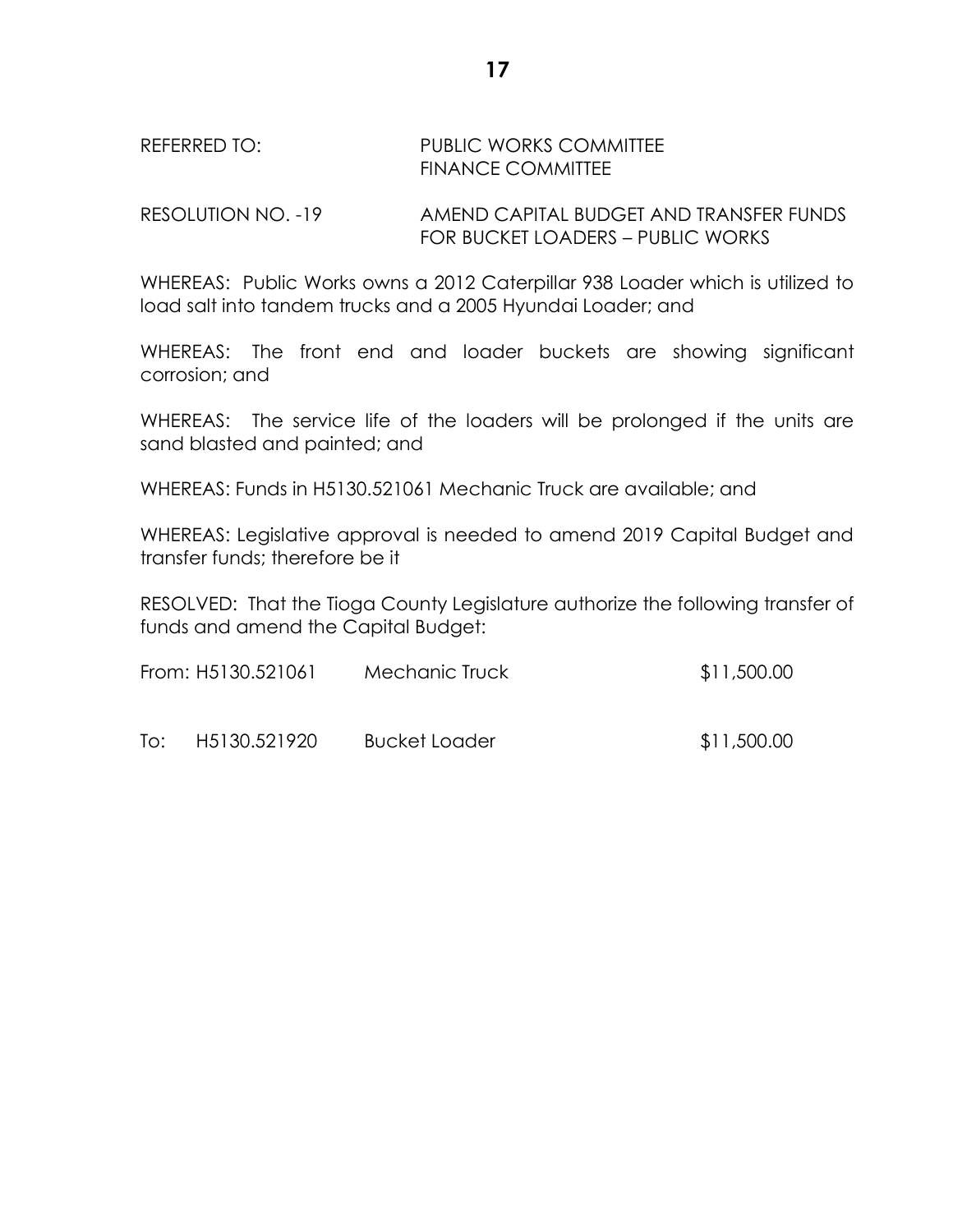## REFERRED TO: PUBLIC WORKS COMMITTEE FINANCE COMMITTEE

RESOLUTION NO. -19 AMEND CAPITAL BUDGET AND TRANSFER FUNDS FOR BUCKET LOADERS – PUBLIC WORKS

WHEREAS: Public Works owns a 2012 Caterpillar 938 Loader which is utilized to load salt into tandem trucks and a 2005 Hyundai Loader; and

WHEREAS: The front end and loader buckets are showing significant corrosion; and

WHEREAS: The service life of the loaders will be prolonged if the units are sand blasted and painted; and

WHEREAS: Funds in H5130.521061 Mechanic Truck are available; and

WHEREAS: Legislative approval is needed to amend 2019 Capital Budget and transfer funds; therefore be it

RESOLVED: That the Tioga County Legislature authorize the following transfer of funds and amend the Capital Budget:

| From: H5130.521061 |              | Mechanic Truck       | \$11,500.00 |
|--------------------|--------------|----------------------|-------------|
| To:                | H5130.521920 | <b>Bucket Loader</b> | \$11,500.00 |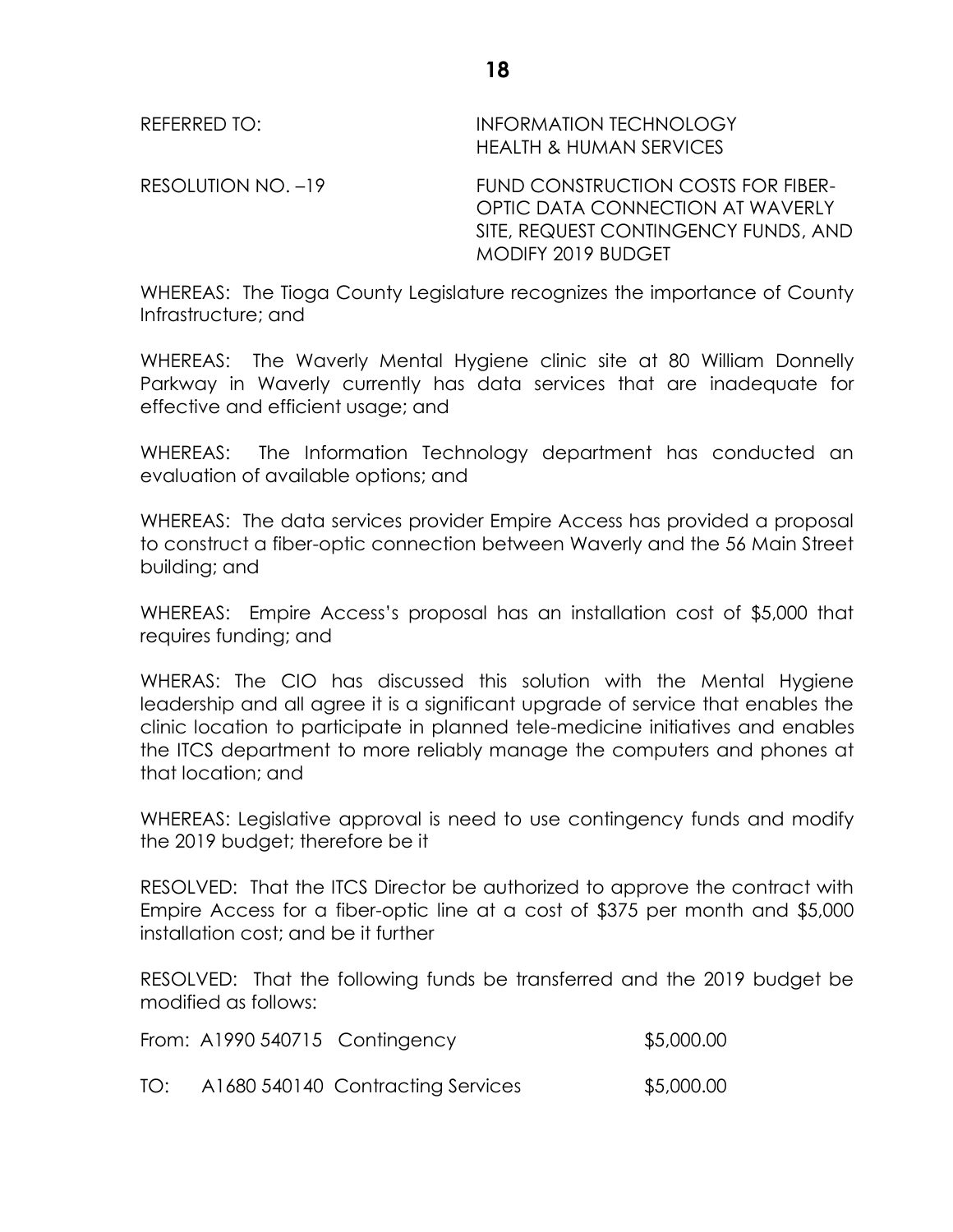REFERRED TO: INFORMATION TECHNOLOGY HEALTH & HUMAN SERVICES

RESOLUTION NO. –19 FUND CONSTRUCTION COSTS FOR FIBER-OPTIC DATA CONNECTION AT WAVERLY SITE, REQUEST CONTINGENCY FUNDS, AND MODIFY 2019 BUDGET

WHEREAS: The Tioga County Legislature recognizes the importance of County Infrastructure; and

WHEREAS: The Waverly Mental Hygiene clinic site at 80 William Donnelly Parkway in Waverly currently has data services that are inadequate for effective and efficient usage; and

WHEREAS: The Information Technology department has conducted an evaluation of available options; and

WHEREAS: The data services provider Empire Access has provided a proposal to construct a fiber-optic connection between Waverly and the 56 Main Street building; and

WHEREAS: Empire Access's proposal has an installation cost of \$5,000 that requires funding; and

WHERAS: The CIO has discussed this solution with the Mental Hygiene leadership and all agree it is a significant upgrade of service that enables the clinic location to participate in planned tele-medicine initiatives and enables the ITCS department to more reliably manage the computers and phones at that location; and

WHEREAS: Legislative approval is need to use contingency funds and modify the 2019 budget; therefore be it

RESOLVED: That the ITCS Director be authorized to approve the contract with Empire Access for a fiber-optic line at a cost of \$375 per month and \$5,000 installation cost; and be it further

RESOLVED: That the following funds be transferred and the 2019 budget be modified as follows:

| From: A1990 540715 Contingency |  | \$5,000.00 |
|--------------------------------|--|------------|
|                                |  |            |

TO: A1680 540140 Contracting Services \$5,000.00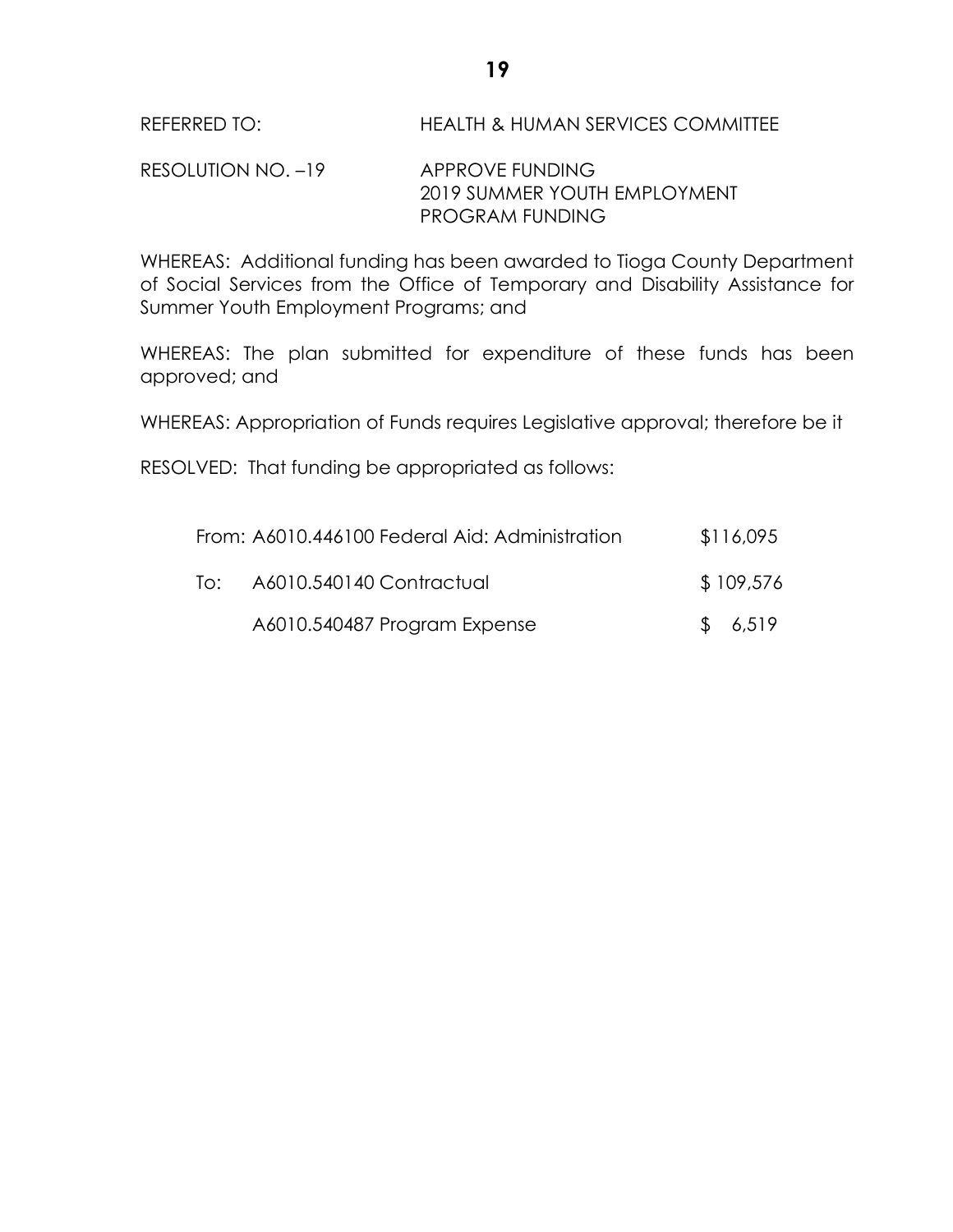## REFERRED TO: HEALTH & HUMAN SERVICES COMMITTEE

#### RESOLUTION NO. -19 APPROVE FUNDING 2019 SUMMER YOUTH EMPLOYMENT PROGRAM FUNDING

WHEREAS: Additional funding has been awarded to Tioga County Department of Social Services from the Office of Temporary and Disability Assistance for Summer Youth Employment Programs; and

WHEREAS: The plan submitted for expenditure of these funds has been approved; and

WHEREAS: Appropriation of Funds requires Legislative approval; therefore be it

RESOLVED: That funding be appropriated as follows:

|     | From: A6010.446100 Federal Aid: Administration | \$116,095 |
|-----|------------------------------------------------|-----------|
| To: | A6010.540140 Contractual                       | \$109,576 |
|     | A6010.540487 Program Expense                   | \$6,519   |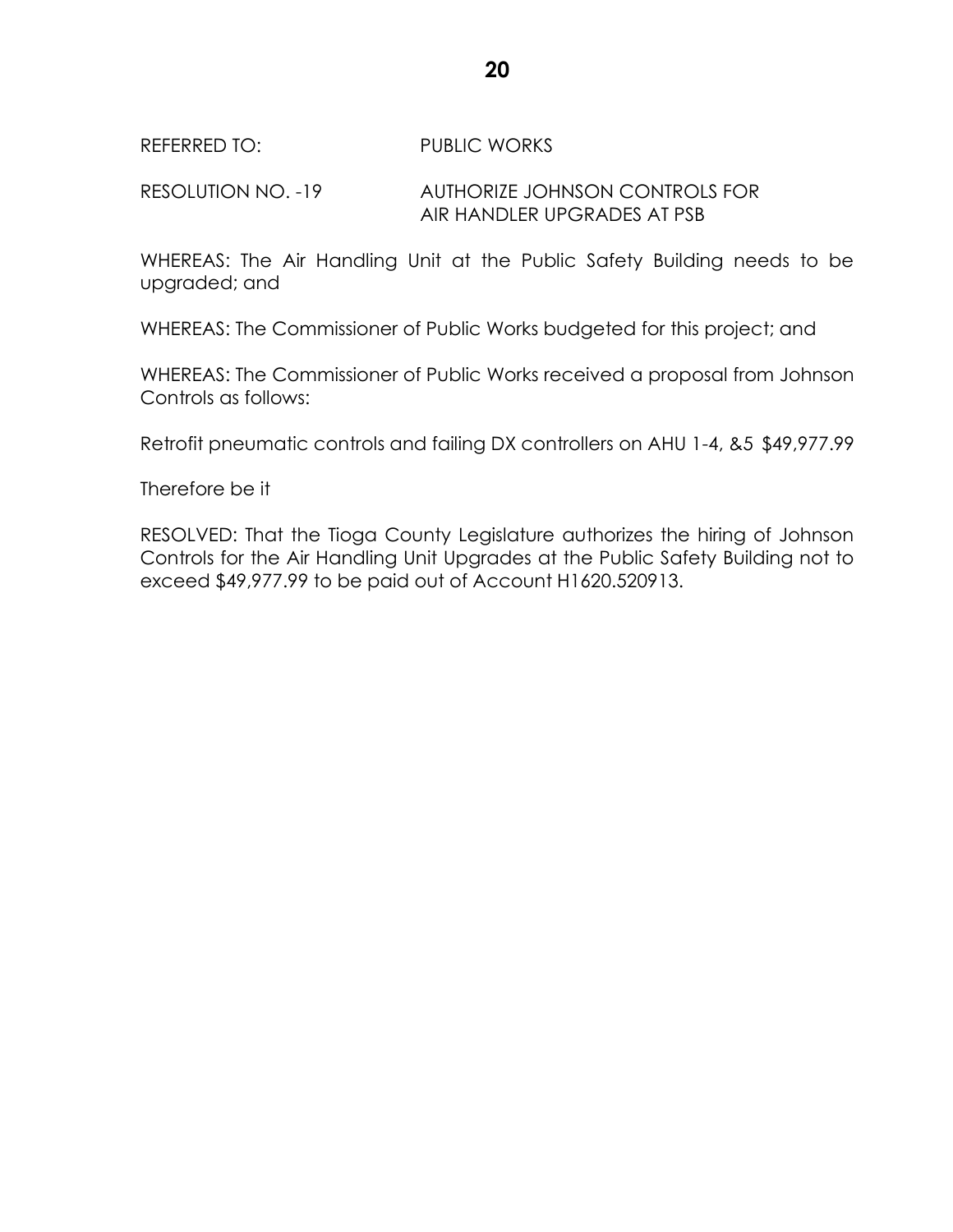#### REFERRED TO: PUBLIC WORKS

## RESOLUTION NO. -19 AUTHORIZE JOHNSON CONTROLS FOR AIR HANDLER UPGRADES AT PSB

WHEREAS: The Air Handling Unit at the Public Safety Building needs to be upgraded; and

WHEREAS: The Commissioner of Public Works budgeted for this project; and

WHEREAS: The Commissioner of Public Works received a proposal from Johnson Controls as follows:

Retrofit pneumatic controls and failing DX controllers on AHU 1-4, &5 \$49,977.99

Therefore be it

RESOLVED: That the Tioga County Legislature authorizes the hiring of Johnson Controls for the Air Handling Unit Upgrades at the Public Safety Building not to exceed \$49,977.99 to be paid out of Account H1620.520913.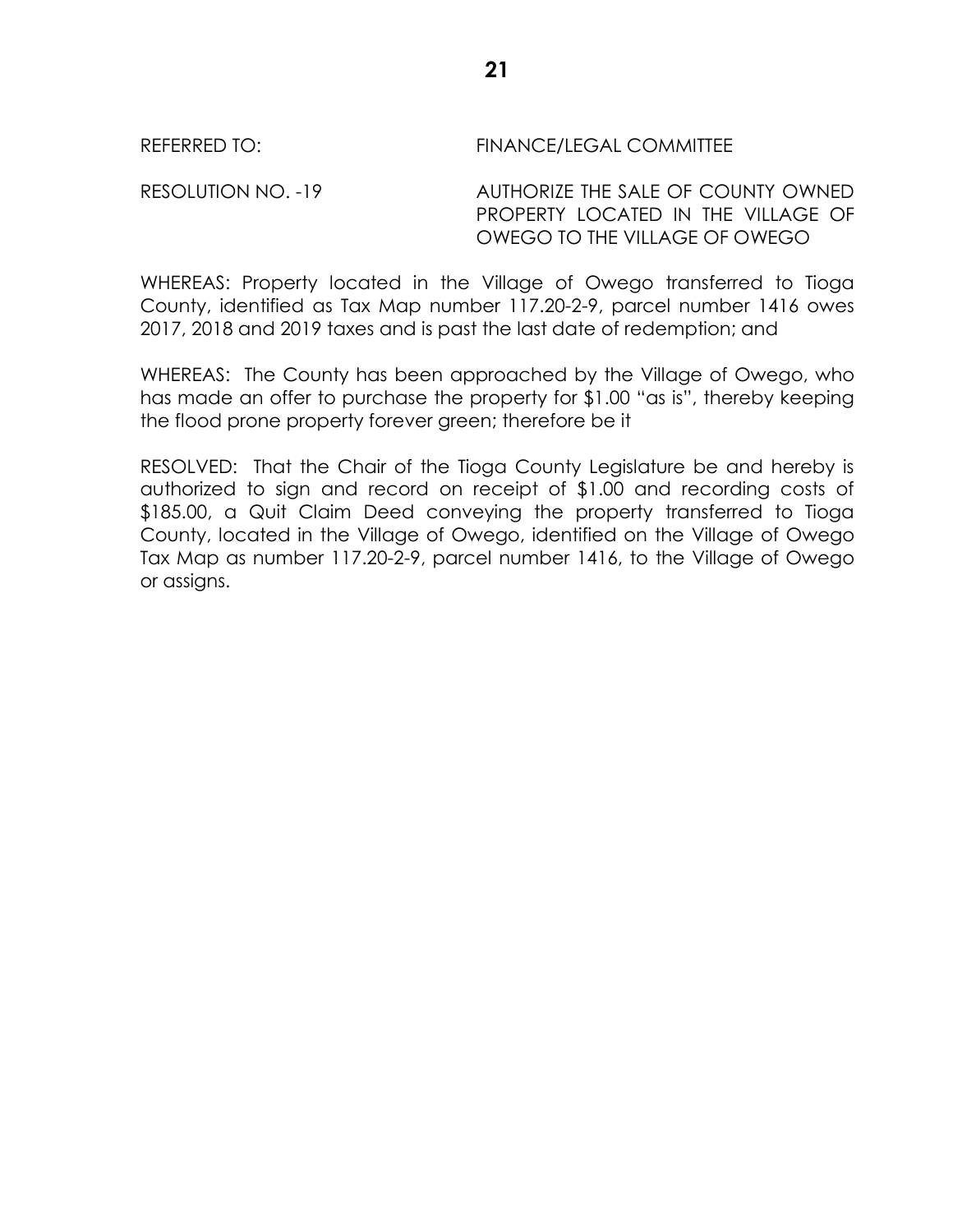## RESOLUTION NO. -19 AUTHORIZE THE SALE OF COUNTY OWNED PROPERTY LOCATED IN THE VILLAGE OF OWEGO TO THE VILLAGE OF OWEGO

WHEREAS: Property located in the Village of Owego transferred to Tioga County, identified as Tax Map number 117.20-2-9, parcel number 1416 owes 2017, 2018 and 2019 taxes and is past the last date of redemption; and

WHEREAS: The County has been approached by the Village of Owego, who has made an offer to purchase the property for \$1.00 "as is", thereby keeping the flood prone property forever green; therefore be it

RESOLVED: That the Chair of the Tioga County Legislature be and hereby is authorized to sign and record on receipt of \$1.00 and recording costs of \$185.00, a Quit Claim Deed conveying the property transferred to Tioga County, located in the Village of Owego, identified on the Village of Owego Tax Map as number 117.20-2-9, parcel number 1416, to the Village of Owego or assigns.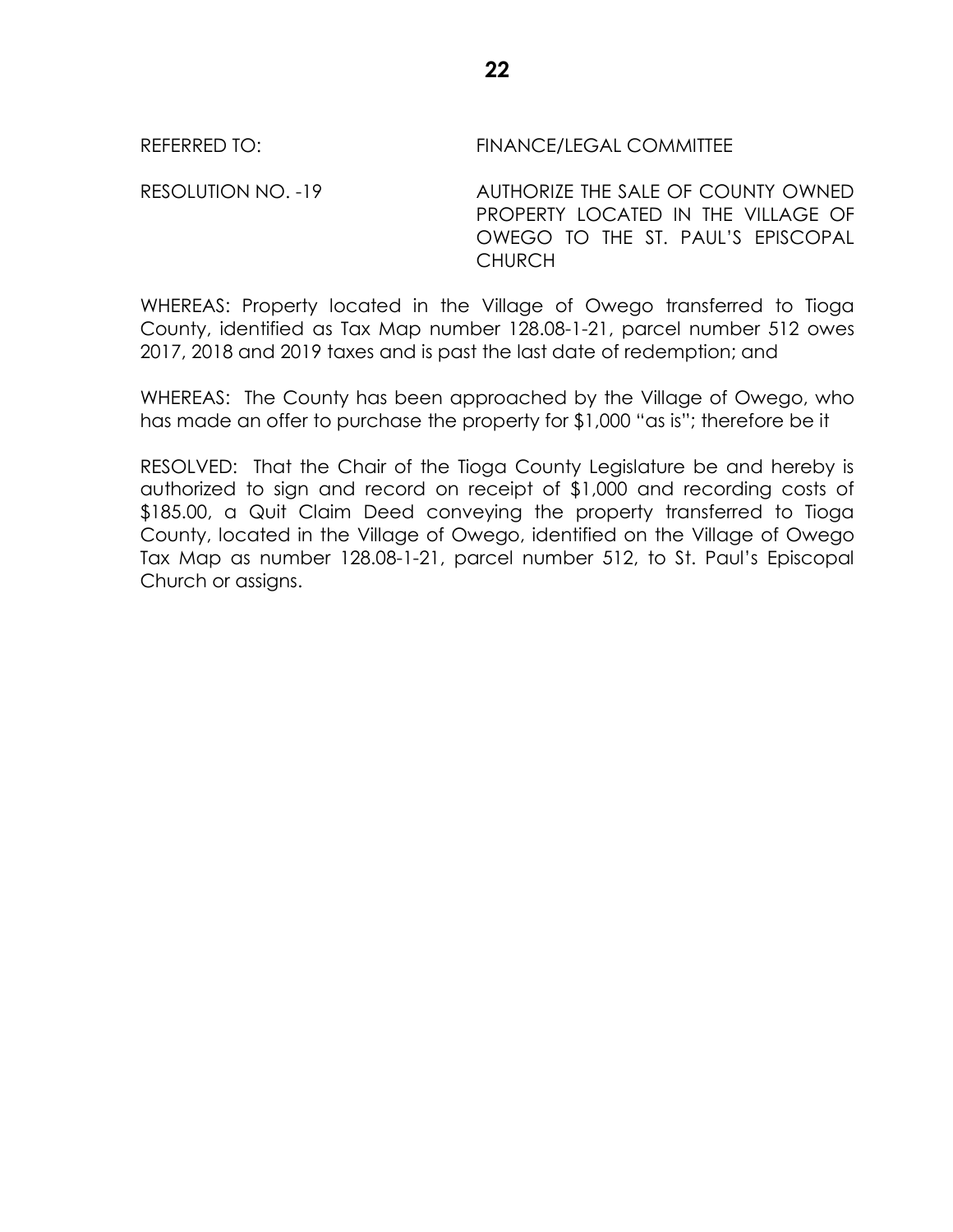RESOLUTION NO. -19 AUTHORIZE THE SALE OF COUNTY OWNED PROPERTY LOCATED IN THE VILLAGE OF OWEGO TO THE ST. PAUL'S EPISCOPAL **CHURCH** 

WHEREAS: Property located in the Village of Owego transferred to Tioga County, identified as Tax Map number 128.08-1-21, parcel number 512 owes 2017, 2018 and 2019 taxes and is past the last date of redemption; and

WHEREAS: The County has been approached by the Village of Owego, who has made an offer to purchase the property for \$1,000 "as is"; therefore be it

RESOLVED: That the Chair of the Tioga County Legislature be and hereby is authorized to sign and record on receipt of \$1,000 and recording costs of \$185.00, a Quit Claim Deed conveying the property transferred to Tioga County, located in the Village of Owego, identified on the Village of Owego Tax Map as number 128.08-1-21, parcel number 512, to St. Paul's Episcopal Church or assigns.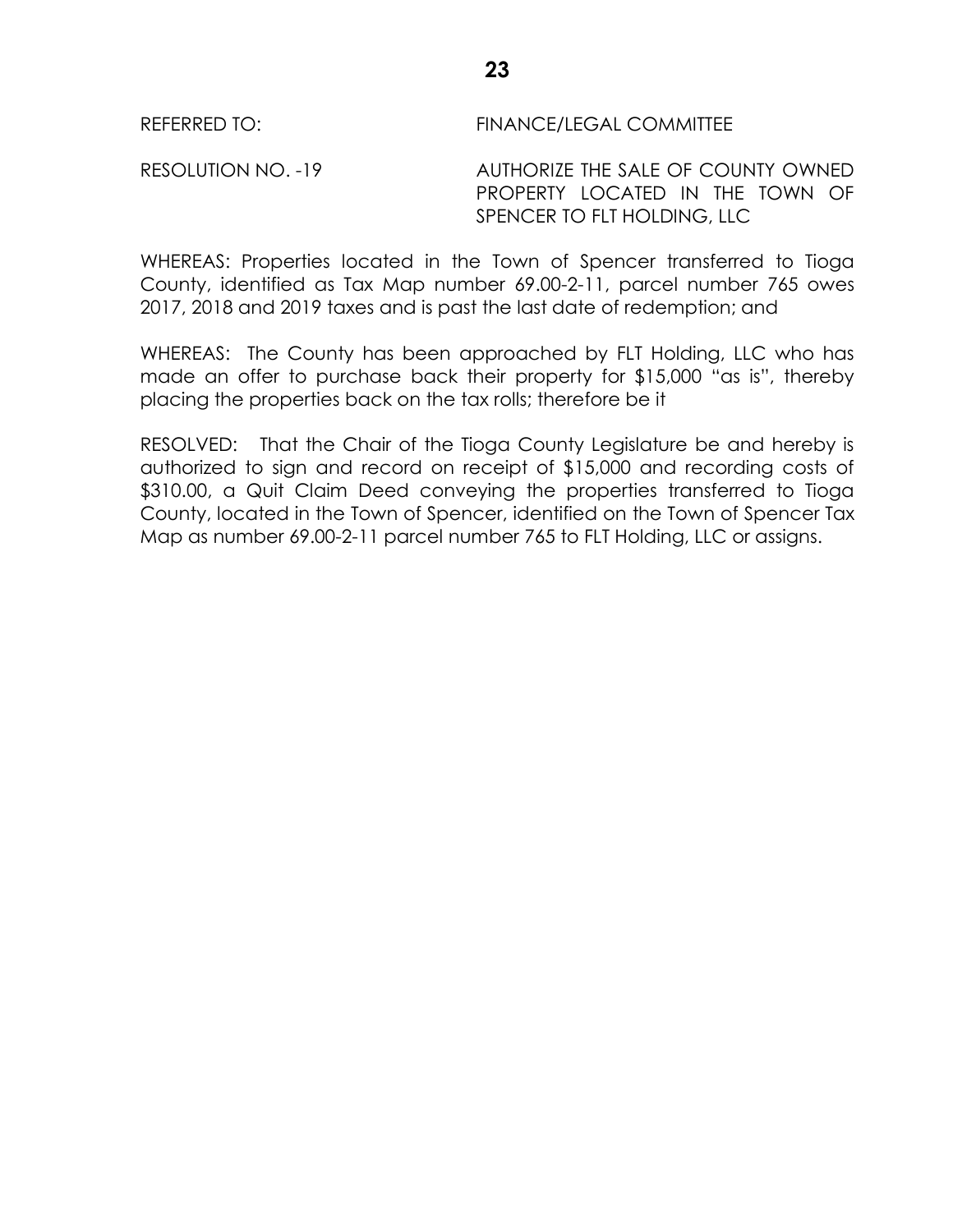RESOLUTION NO. -19 AUTHORIZE THE SALE OF COUNTY OWNED PROPERTY LOCATED IN THE TOWN OF SPENCER TO FLT HOLDING, LLC

WHEREAS: Properties located in the Town of Spencer transferred to Tioga County, identified as Tax Map number 69.00-2-11, parcel number 765 owes 2017, 2018 and 2019 taxes and is past the last date of redemption; and

WHEREAS: The County has been approached by FLT Holding, LLC who has made an offer to purchase back their property for \$15,000 "as is", thereby placing the properties back on the tax rolls; therefore be it

RESOLVED: That the Chair of the Tioga County Legislature be and hereby is authorized to sign and record on receipt of \$15,000 and recording costs of \$310.00, a Quit Claim Deed conveying the properties transferred to Tioga County, located in the Town of Spencer, identified on the Town of Spencer Tax Map as number 69.00-2-11 parcel number 765 to FLT Holding, LLC or assigns.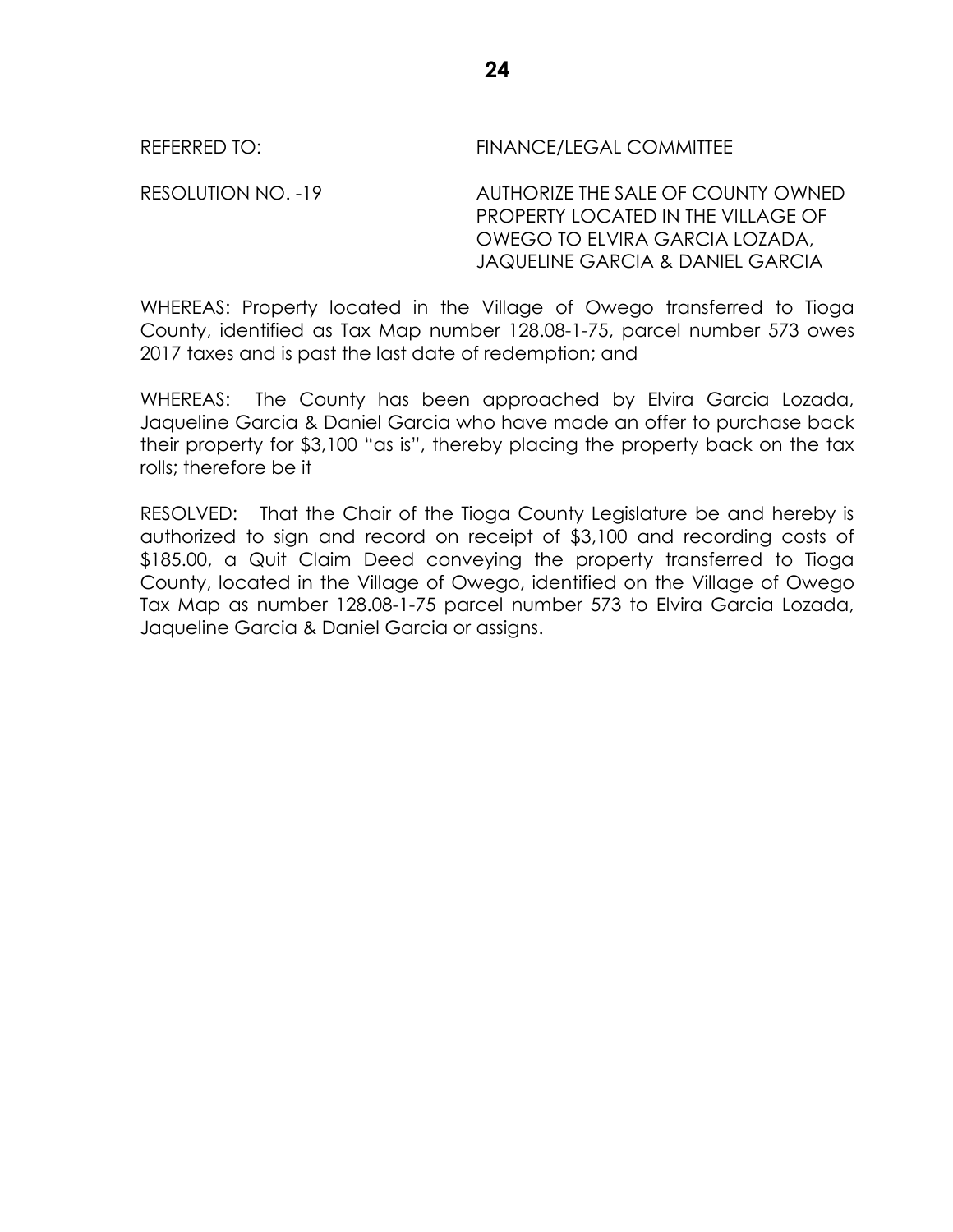REFERRED TO: THE REFERRED TO: THE REFERRED TO:

RESOLUTION NO. -19 AUTHORIZE THE SALE OF COUNTY OWNED PROPERTY LOCATED IN THE VILLAGE OF OWEGO TO ELVIRA GARCIA LOZADA, JAQUELINE GARCIA & DANIEL GARCIA

WHEREAS: Property located in the Village of Owego transferred to Tioga County, identified as Tax Map number 128.08-1-75, parcel number 573 owes 2017 taxes and is past the last date of redemption; and

WHEREAS: The County has been approached by Elvira Garcia Lozada, Jaqueline Garcia & Daniel Garcia who have made an offer to purchase back their property for \$3,100 "as is", thereby placing the property back on the tax rolls; therefore be it

RESOLVED: That the Chair of the Tioga County Legislature be and hereby is authorized to sign and record on receipt of \$3,100 and recording costs of \$185.00, a Quit Claim Deed conveying the property transferred to Tioga County, located in the Village of Owego, identified on the Village of Owego Tax Map as number 128.08-1-75 parcel number 573 to Elvira Garcia Lozada, Jaqueline Garcia & Daniel Garcia or assigns.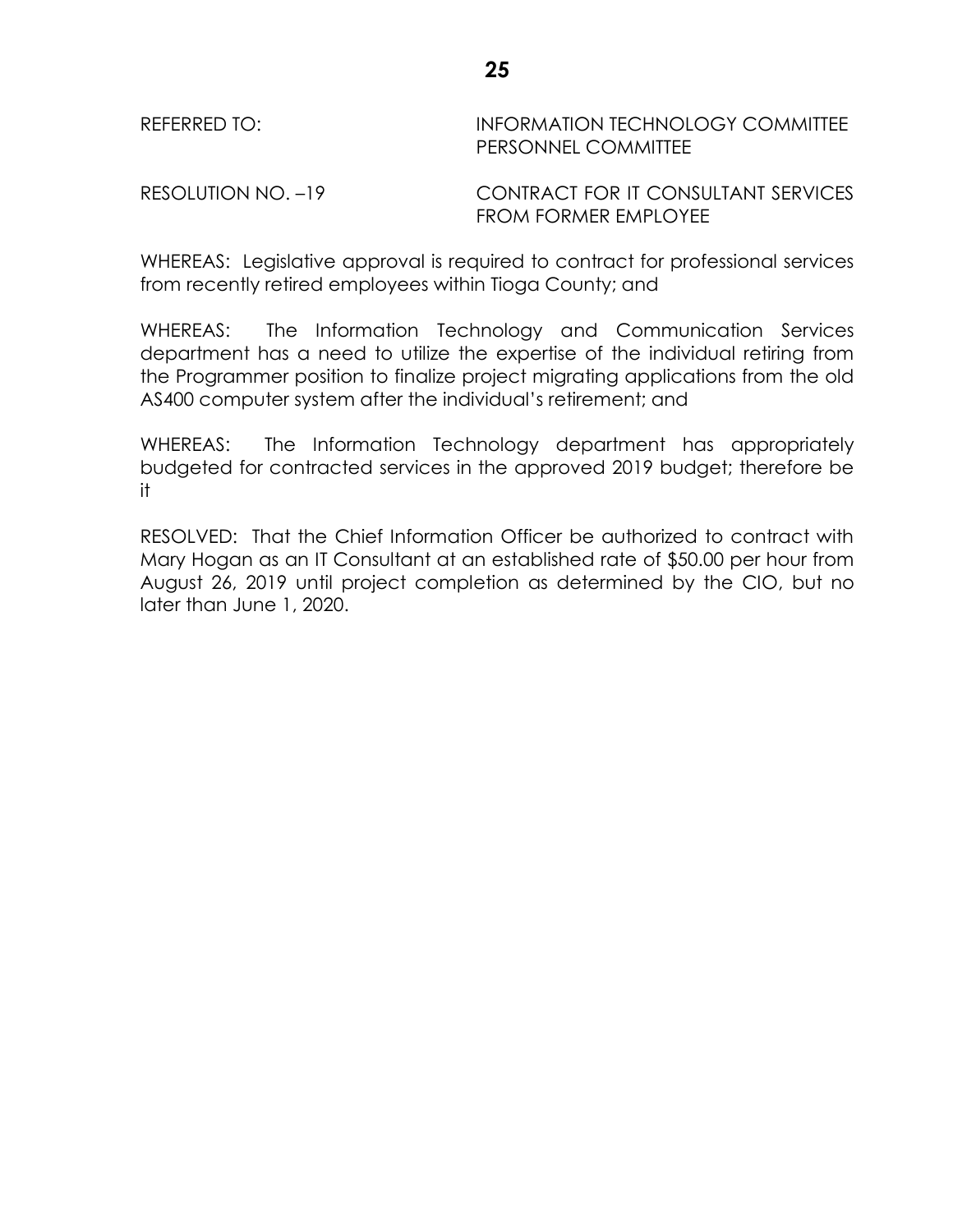| REFERRED TO: |
|--------------|
|--------------|

## INFORMATION TECHNOLOGY COMMITTEE PERSONNEL COMMITTEE

RESOLUTION NO. –19 CONTRACT FOR IT CONSULTANT SERVICES FROM FORMER EMPLOYEE

WHEREAS: Legislative approval is required to contract for professional services from recently retired employees within Tioga County; and

WHEREAS: The Information Technology and Communication Services department has a need to utilize the expertise of the individual retiring from the Programmer position to finalize project migrating applications from the old AS400 computer system after the individual's retirement; and

WHEREAS: The Information Technology department has appropriately budgeted for contracted services in the approved 2019 budget; therefore be it

RESOLVED: That the Chief Information Officer be authorized to contract with Mary Hogan as an IT Consultant at an established rate of \$50.00 per hour from August 26, 2019 until project completion as determined by the CIO, but no later than June 1, 2020.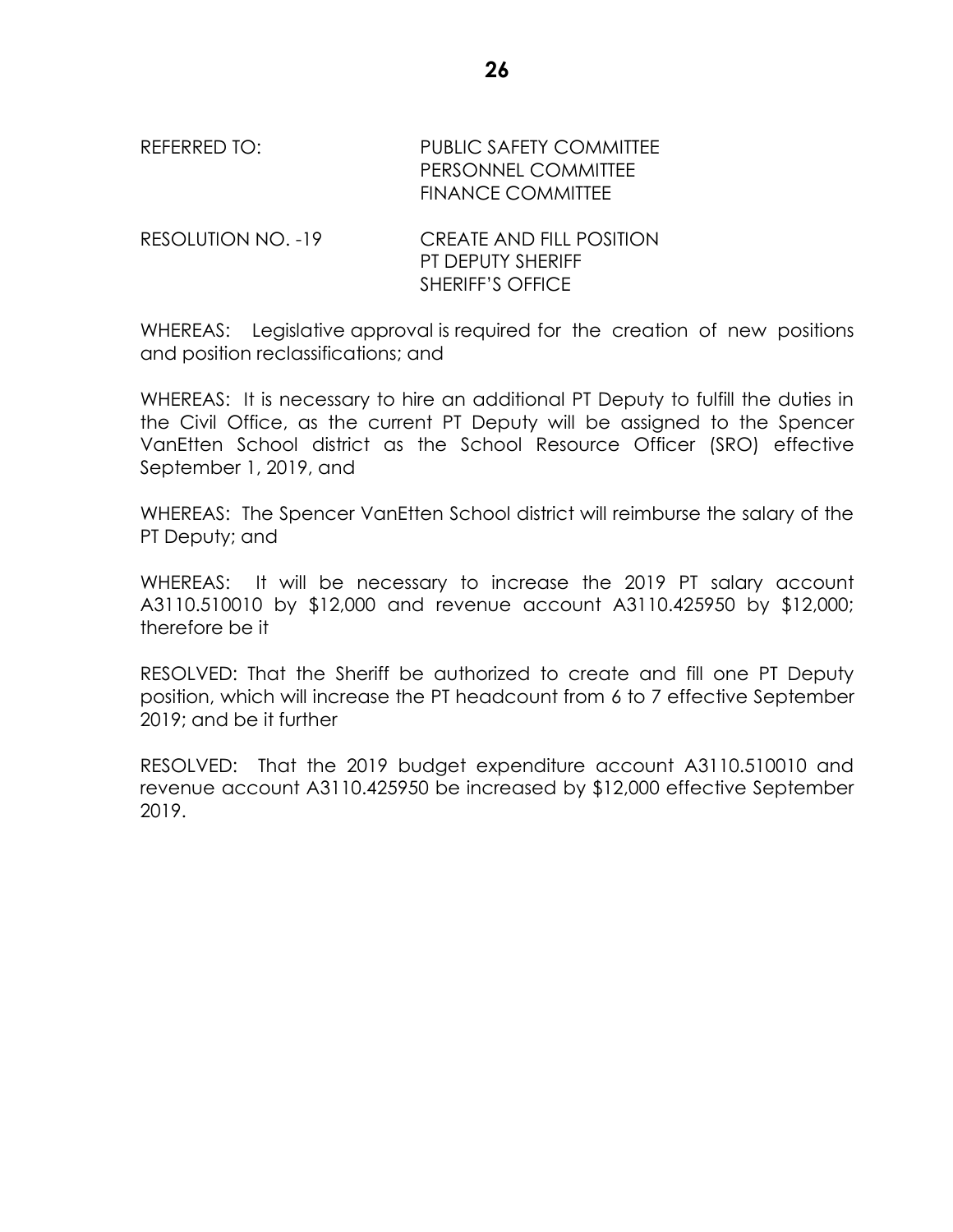REFERRED TO: PUBLIC SAFETY COMMITTEE PERSONNEL COMMITTEE FINANCE COMMITTEE

RESOLUTION NO. -19 CREATE AND FILL POSITION PT DEPUTY SHERIFF SHERIFF'S OFFICE

WHEREAS: Legislative approval is required for the creation of new positions and position reclassifications; and

WHEREAS: It is necessary to hire an additional PT Deputy to fulfill the duties in the Civil Office, as the current PT Deputy will be assigned to the Spencer VanEtten School district as the School Resource Officer (SRO) effective September 1, 2019, and

WHEREAS: The Spencer VanEtten School district will reimburse the salary of the PT Deputy; and

WHEREAS: It will be necessary to increase the 2019 PT salary account A3110.510010 by \$12,000 and revenue account A3110.425950 by \$12,000; therefore be it

RESOLVED: That the Sheriff be authorized to create and fill one PT Deputy position, which will increase the PT headcount from 6 to 7 effective September 2019; and be it further

RESOLVED: That the 2019 budget expenditure account A3110.510010 and revenue account A3110.425950 be increased by \$12,000 effective September 2019.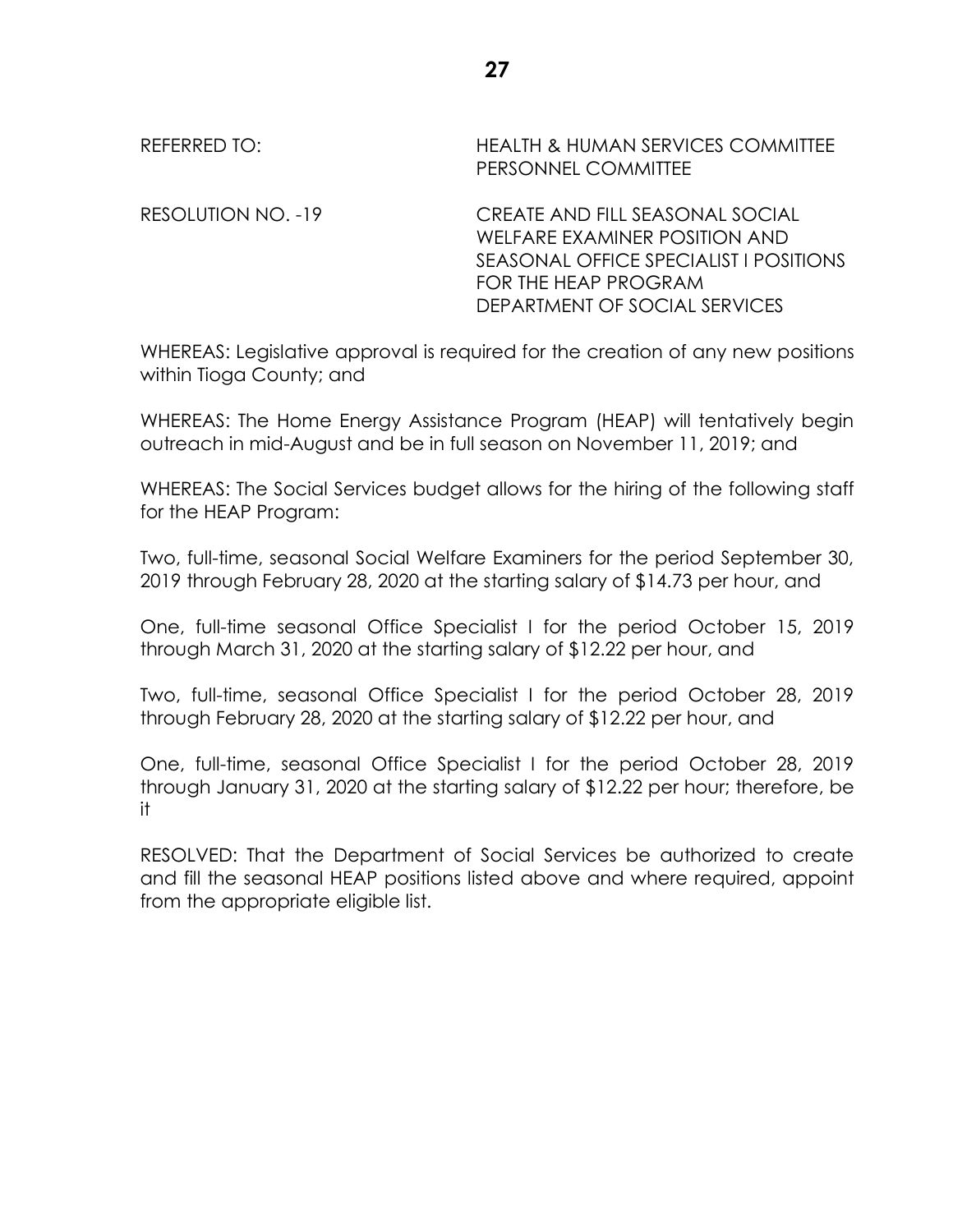| REFERRED TO:       | <b>HEALTH &amp; HUMAN SERVICES COMMITTEE</b><br>PERSONNEL COMMITTEE                                                                                                 |
|--------------------|---------------------------------------------------------------------------------------------------------------------------------------------------------------------|
| RESOLUTION NO. -19 | CREATE AND FILL SEASONAL SOCIAL<br>WELFARE EXAMINER POSITION AND<br>SEASONAL OFFICE SPECIALIST I POSITIONS<br>FOR THE HEAP PROGRAM<br>DEPARTMENT OF SOCIAL SERVICES |

WHEREAS: Legislative approval is required for the creation of any new positions within Tioga County; and

WHEREAS: The Home Energy Assistance Program (HEAP) will tentatively begin outreach in mid-August and be in full season on November 11, 2019; and

WHEREAS: The Social Services budget allows for the hiring of the following staff for the HEAP Program:

Two, full-time, seasonal Social Welfare Examiners for the period September 30, 2019 through February 28, 2020 at the starting salary of \$14.73 per hour, and

One, full-time seasonal Office Specialist I for the period October 15, 2019 through March 31, 2020 at the starting salary of \$12.22 per hour, and

Two, full-time, seasonal Office Specialist I for the period October 28, 2019 through February 28, 2020 at the starting salary of \$12.22 per hour, and

One, full-time, seasonal Office Specialist I for the period October 28, 2019 through January 31, 2020 at the starting salary of \$12.22 per hour; therefore, be it

RESOLVED: That the Department of Social Services be authorized to create and fill the seasonal HEAP positions listed above and where required, appoint from the appropriate eligible list.